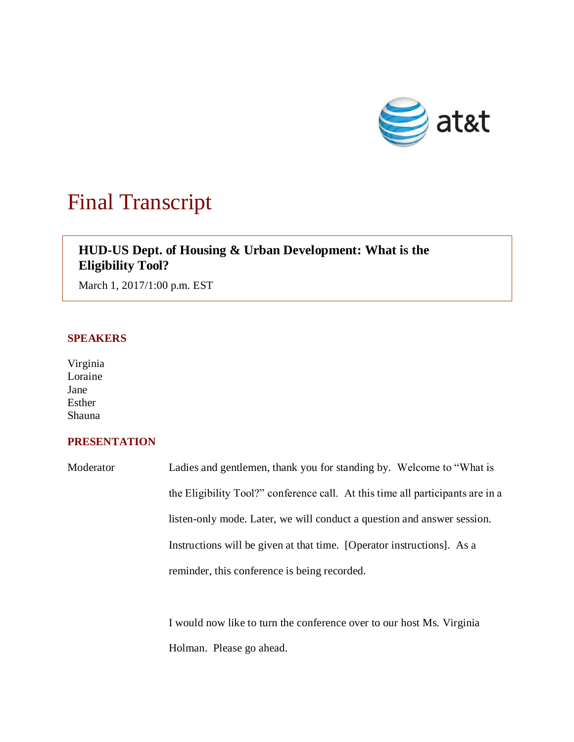

## Final Transcript

## **HUD-US Dept. of Housing & Urban Development: What is the Eligibility Tool?**

March 1, 2017/1:00 p.m. EST

## **SPEAKERS**

Virginia Loraine Jane Esther Shauna

## **PRESENTATION**

Moderator Ladies and gentlemen, thank you for standing by. Welcome to "What is the Eligibility Tool?" conference call. At this time all participants are in a listen-only mode. Later, we will conduct a question and answer session. Instructions will be given at that time. [Operator instructions]. As a reminder, this conference is being recorded.

> I would now like to turn the conference over to our host Ms. Virginia Holman. Please go ahead.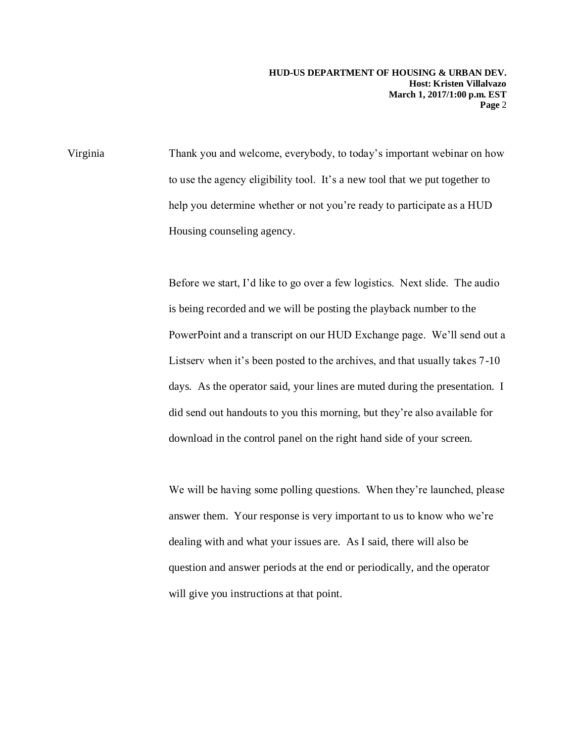Virginia Thank you and welcome, everybody, to today's important webinar on how to use the agency eligibility tool. It's a new tool that we put together to help you determine whether or not you're ready to participate as a HUD Housing counseling agency.

> Before we start, I'd like to go over a few logistics. Next slide. The audio is being recorded and we will be posting the playback number to the PowerPoint and a transcript on our HUD Exchange page. We'll send out a Listserv when it's been posted to the archives, and that usually takes 7-10 days. As the operator said, your lines are muted during the presentation. I did send out handouts to you this morning, but they're also available for download in the control panel on the right hand side of your screen.

> We will be having some polling questions. When they're launched, please answer them. Your response is very important to us to know who we're dealing with and what your issues are. As I said, there will also be question and answer periods at the end or periodically, and the operator will give you instructions at that point.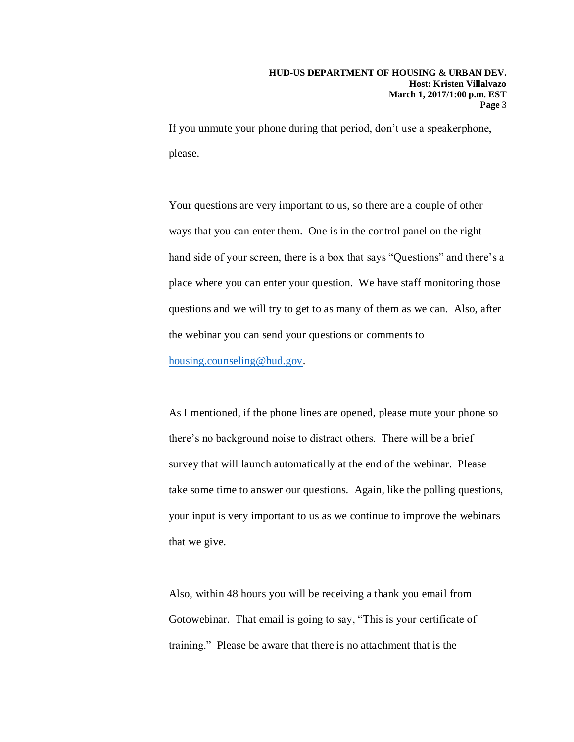If you unmute your phone during that period, don't use a speakerphone, please.

Your questions are very important to us, so there are a couple of other ways that you can enter them. One is in the control panel on the right hand side of your screen, there is a box that says "Questions" and there's a place where you can enter your question. We have staff monitoring those questions and we will try to get to as many of them as we can. Also, after the webinar you can send your questions or comments to [housing.counseling@hud.gov.](mailto:housing.counseling@hud.gov)

As I mentioned, if the phone lines are opened, please mute your phone so there's no background noise to distract others. There will be a brief survey that will launch automatically at the end of the webinar. Please take some time to answer our questions. Again, like the polling questions, your input is very important to us as we continue to improve the webinars that we give.

Also, within 48 hours you will be receiving a thank you email from Gotowebinar. That email is going to say, "This is your certificate of training." Please be aware that there is no attachment that is the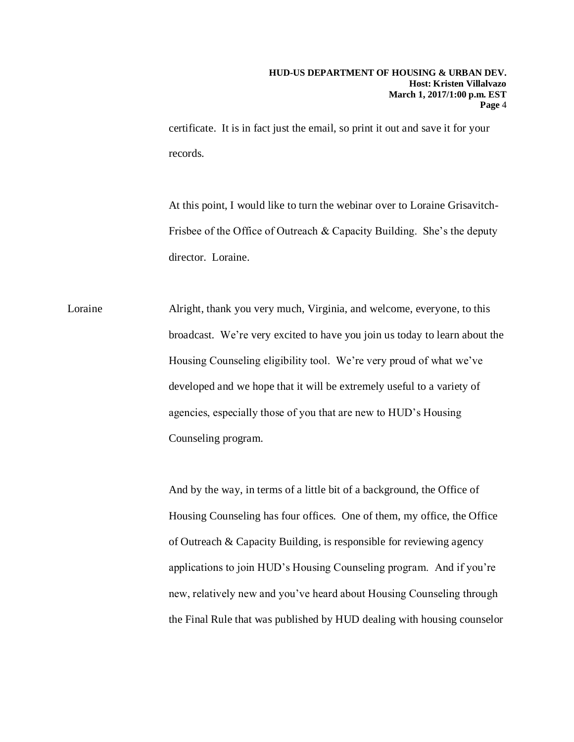certificate. It is in fact just the email, so print it out and save it for your records.

At this point, I would like to turn the webinar over to Loraine Grisavitch-Frisbee of the Office of Outreach & Capacity Building. She's the deputy director. Loraine.

Loraine Alright, thank you very much, Virginia, and welcome, everyone, to this broadcast. We're very excited to have you join us today to learn about the Housing Counseling eligibility tool. We're very proud of what we've developed and we hope that it will be extremely useful to a variety of agencies, especially those of you that are new to HUD's Housing Counseling program.

> And by the way, in terms of a little bit of a background, the Office of Housing Counseling has four offices. One of them, my office, the Office of Outreach & Capacity Building, is responsible for reviewing agency applications to join HUD's Housing Counseling program. And if you're new, relatively new and you've heard about Housing Counseling through the Final Rule that was published by HUD dealing with housing counselor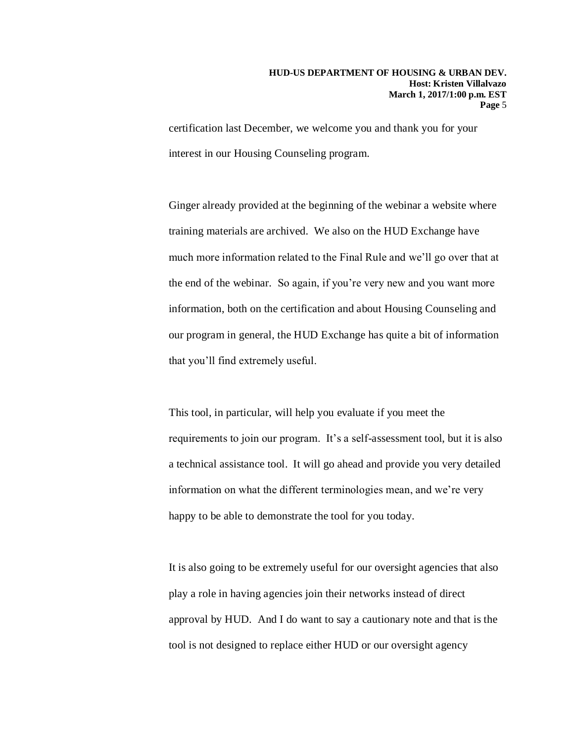certification last December, we welcome you and thank you for your interest in our Housing Counseling program.

Ginger already provided at the beginning of the webinar a website where training materials are archived. We also on the HUD Exchange have much more information related to the Final Rule and we'll go over that at the end of the webinar. So again, if you're very new and you want more information, both on the certification and about Housing Counseling and our program in general, the HUD Exchange has quite a bit of information that you'll find extremely useful.

This tool, in particular, will help you evaluate if you meet the requirements to join our program. It's a self-assessment tool, but it is also a technical assistance tool. It will go ahead and provide you very detailed information on what the different terminologies mean, and we're very happy to be able to demonstrate the tool for you today.

It is also going to be extremely useful for our oversight agencies that also play a role in having agencies join their networks instead of direct approval by HUD. And I do want to say a cautionary note and that is the tool is not designed to replace either HUD or our oversight agency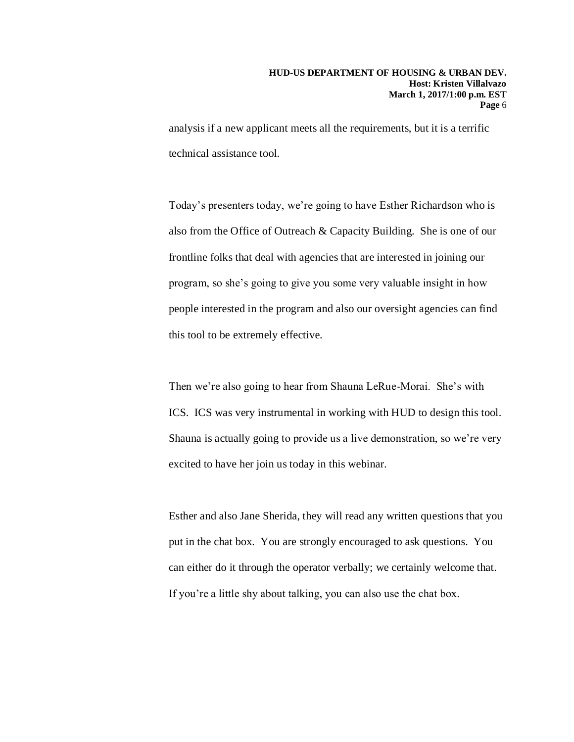analysis if a new applicant meets all the requirements, but it is a terrific technical assistance tool.

Today's presenters today, we're going to have Esther Richardson who is also from the Office of Outreach & Capacity Building. She is one of our frontline folks that deal with agencies that are interested in joining our program, so she's going to give you some very valuable insight in how people interested in the program and also our oversight agencies can find this tool to be extremely effective.

Then we're also going to hear from Shauna LeRue-Morai. She's with ICS. ICS was very instrumental in working with HUD to design this tool. Shauna is actually going to provide us a live demonstration, so we're very excited to have her join us today in this webinar.

Esther and also Jane Sherida, they will read any written questions that you put in the chat box. You are strongly encouraged to ask questions. You can either do it through the operator verbally; we certainly welcome that. If you're a little shy about talking, you can also use the chat box.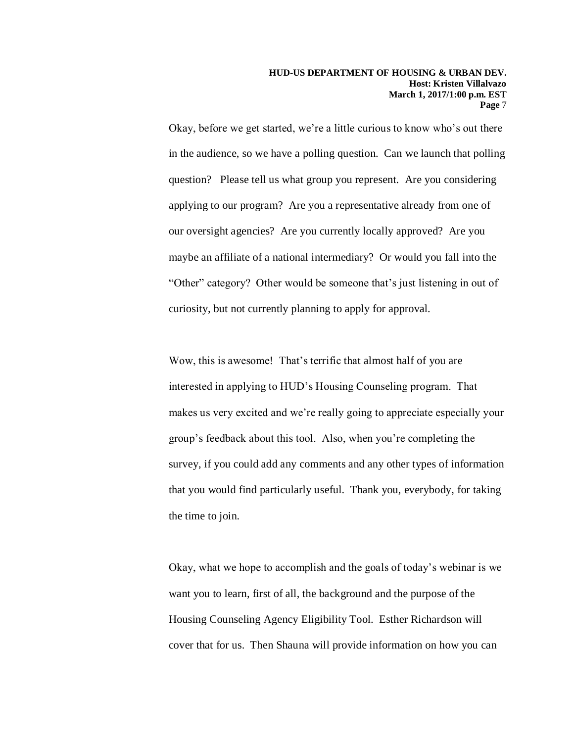Okay, before we get started, we're a little curious to know who's out there in the audience, so we have a polling question. Can we launch that polling question? Please tell us what group you represent. Are you considering applying to our program? Are you a representative already from one of our oversight agencies? Are you currently locally approved? Are you maybe an affiliate of a national intermediary? Or would you fall into the "Other" category? Other would be someone that's just listening in out of curiosity, but not currently planning to apply for approval.

Wow, this is awesome! That's terrific that almost half of you are interested in applying to HUD's Housing Counseling program. That makes us very excited and we're really going to appreciate especially your group's feedback about this tool. Also, when you're completing the survey, if you could add any comments and any other types of information that you would find particularly useful. Thank you, everybody, for taking the time to join.

Okay, what we hope to accomplish and the goals of today's webinar is we want you to learn, first of all, the background and the purpose of the Housing Counseling Agency Eligibility Tool. Esther Richardson will cover that for us. Then Shauna will provide information on how you can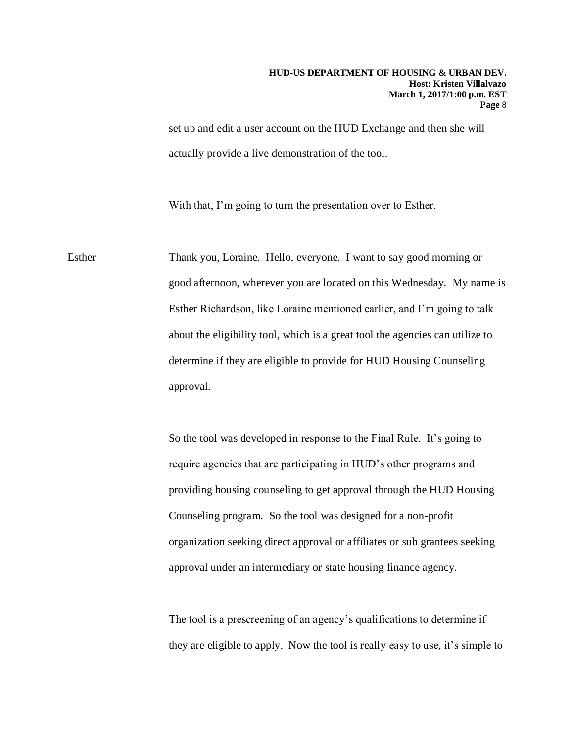set up and edit a user account on the HUD Exchange and then she will actually provide a live demonstration of the tool.

With that, I'm going to turn the presentation over to Esther.

Esther Thank you, Loraine. Hello, everyone. I want to say good morning or good afternoon, wherever you are located on this Wednesday. My name is Esther Richardson, like Loraine mentioned earlier, and I'm going to talk about the eligibility tool, which is a great tool the agencies can utilize to determine if they are eligible to provide for HUD Housing Counseling approval.

> So the tool was developed in response to the Final Rule. It's going to require agencies that are participating in HUD's other programs and providing housing counseling to get approval through the HUD Housing Counseling program. So the tool was designed for a non-profit organization seeking direct approval or affiliates or sub grantees seeking approval under an intermediary or state housing finance agency.

The tool is a prescreening of an agency's qualifications to determine if they are eligible to apply. Now the tool is really easy to use, it's simple to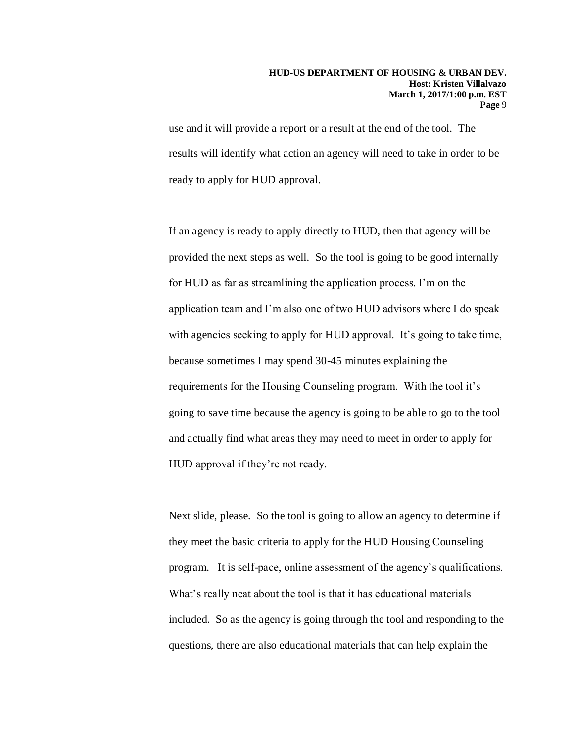use and it will provide a report or a result at the end of the tool. The results will identify what action an agency will need to take in order to be ready to apply for HUD approval.

If an agency is ready to apply directly to HUD, then that agency will be provided the next steps as well. So the tool is going to be good internally for HUD as far as streamlining the application process. I'm on the application team and I'm also one of two HUD advisors where I do speak with agencies seeking to apply for HUD approval. It's going to take time, because sometimes I may spend 30-45 minutes explaining the requirements for the Housing Counseling program. With the tool it's going to save time because the agency is going to be able to go to the tool and actually find what areas they may need to meet in order to apply for HUD approval if they're not ready.

Next slide, please. So the tool is going to allow an agency to determine if they meet the basic criteria to apply for the HUD Housing Counseling program. It is self-pace, online assessment of the agency's qualifications. What's really neat about the tool is that it has educational materials included. So as the agency is going through the tool and responding to the questions, there are also educational materials that can help explain the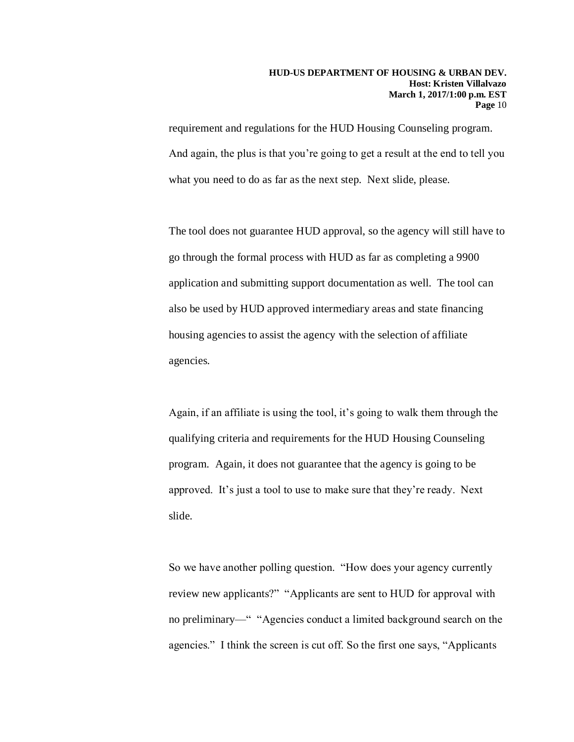requirement and regulations for the HUD Housing Counseling program. And again, the plus is that you're going to get a result at the end to tell you what you need to do as far as the next step. Next slide, please.

The tool does not guarantee HUD approval, so the agency will still have to go through the formal process with HUD as far as completing a 9900 application and submitting support documentation as well. The tool can also be used by HUD approved intermediary areas and state financing housing agencies to assist the agency with the selection of affiliate agencies.

Again, if an affiliate is using the tool, it's going to walk them through the qualifying criteria and requirements for the HUD Housing Counseling program. Again, it does not guarantee that the agency is going to be approved. It's just a tool to use to make sure that they're ready. Next slide.

So we have another polling question. "How does your agency currently review new applicants?" "Applicants are sent to HUD for approval with no preliminary—" "Agencies conduct a limited background search on the agencies." I think the screen is cut off. So the first one says, "Applicants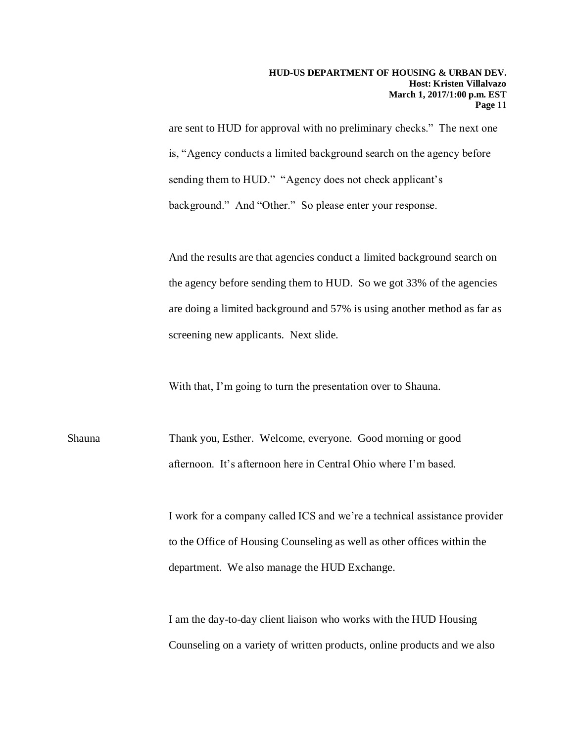are sent to HUD for approval with no preliminary checks." The next one is, "Agency conducts a limited background search on the agency before sending them to HUD." "Agency does not check applicant's background." And "Other." So please enter your response.

And the results are that agencies conduct a limited background search on the agency before sending them to HUD. So we got 33% of the agencies are doing a limited background and 57% is using another method as far as screening new applicants. Next slide.

With that, I'm going to turn the presentation over to Shauna.

Shauna Thank you, Esther. Welcome, everyone. Good morning or good afternoon. It's afternoon here in Central Ohio where I'm based.

> I work for a company called ICS and we're a technical assistance provider to the Office of Housing Counseling as well as other offices within the department. We also manage the HUD Exchange.

I am the day-to-day client liaison who works with the HUD Housing Counseling on a variety of written products, online products and we also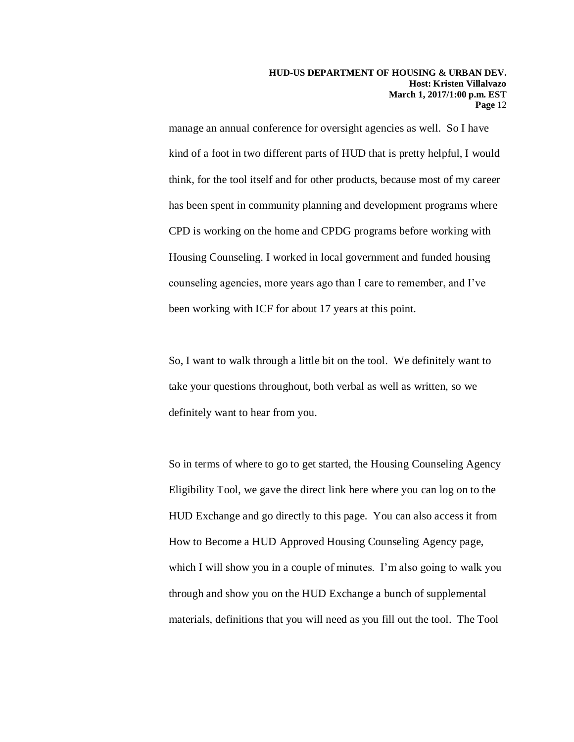manage an annual conference for oversight agencies as well. So I have kind of a foot in two different parts of HUD that is pretty helpful, I would think, for the tool itself and for other products, because most of my career has been spent in community planning and development programs where CPD is working on the home and CPDG programs before working with Housing Counseling. I worked in local government and funded housing counseling agencies, more years ago than I care to remember, and I've been working with ICF for about 17 years at this point.

So, I want to walk through a little bit on the tool. We definitely want to take your questions throughout, both verbal as well as written, so we definitely want to hear from you.

So in terms of where to go to get started, the Housing Counseling Agency Eligibility Tool, we gave the direct link here where you can log on to the HUD Exchange and go directly to this page. You can also access it from How to Become a HUD Approved Housing Counseling Agency page, which I will show you in a couple of minutes. I'm also going to walk you through and show you on the HUD Exchange a bunch of supplemental materials, definitions that you will need as you fill out the tool. The Tool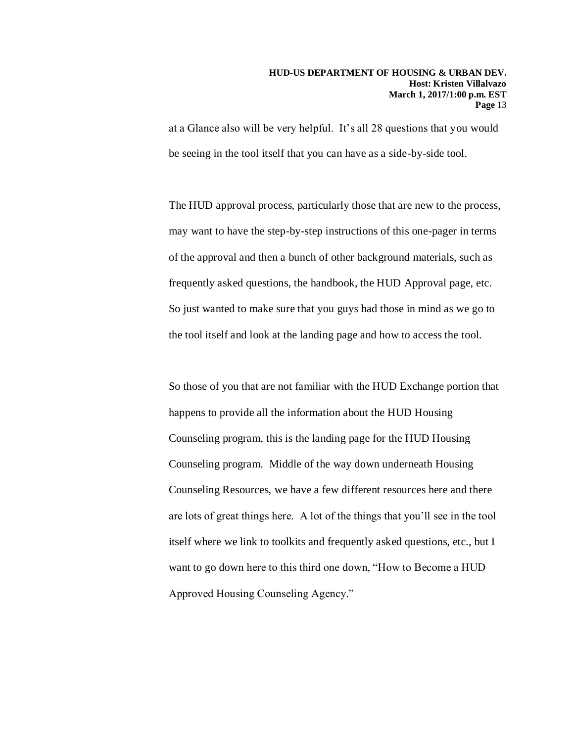at a Glance also will be very helpful. It's all 28 questions that you would be seeing in the tool itself that you can have as a side-by-side tool.

The HUD approval process, particularly those that are new to the process, may want to have the step-by-step instructions of this one-pager in terms of the approval and then a bunch of other background materials, such as frequently asked questions, the handbook, the HUD Approval page, etc. So just wanted to make sure that you guys had those in mind as we go to the tool itself and look at the landing page and how to access the tool.

So those of you that are not familiar with the HUD Exchange portion that happens to provide all the information about the HUD Housing Counseling program, this is the landing page for the HUD Housing Counseling program. Middle of the way down underneath Housing Counseling Resources, we have a few different resources here and there are lots of great things here. A lot of the things that you'll see in the tool itself where we link to toolkits and frequently asked questions, etc., but I want to go down here to this third one down, "How to Become a HUD Approved Housing Counseling Agency."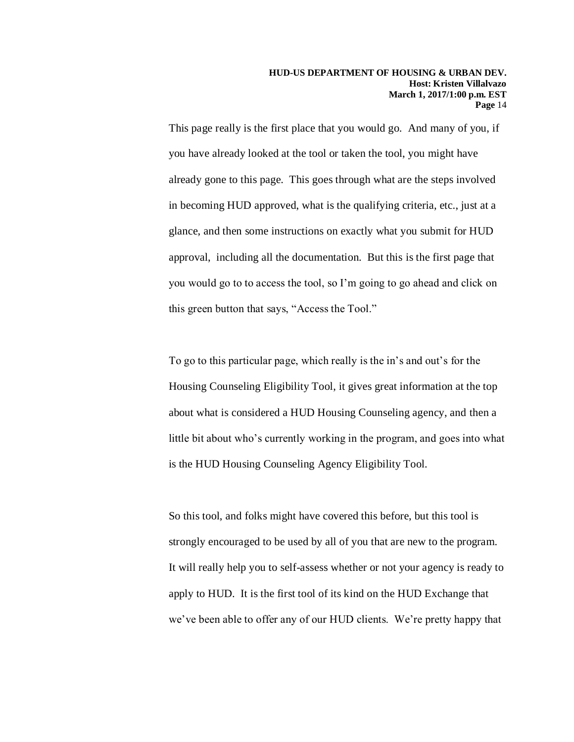This page really is the first place that you would go. And many of you, if you have already looked at the tool or taken the tool, you might have already gone to this page. This goes through what are the steps involved in becoming HUD approved, what is the qualifying criteria, etc., just at a glance, and then some instructions on exactly what you submit for HUD approval, including all the documentation. But this is the first page that you would go to to access the tool, so I'm going to go ahead and click on this green button that says, "Access the Tool."

To go to this particular page, which really is the in's and out's for the Housing Counseling Eligibility Tool, it gives great information at the top about what is considered a HUD Housing Counseling agency, and then a little bit about who's currently working in the program, and goes into what is the HUD Housing Counseling Agency Eligibility Tool.

So this tool, and folks might have covered this before, but this tool is strongly encouraged to be used by all of you that are new to the program. It will really help you to self-assess whether or not your agency is ready to apply to HUD. It is the first tool of its kind on the HUD Exchange that we've been able to offer any of our HUD clients. We're pretty happy that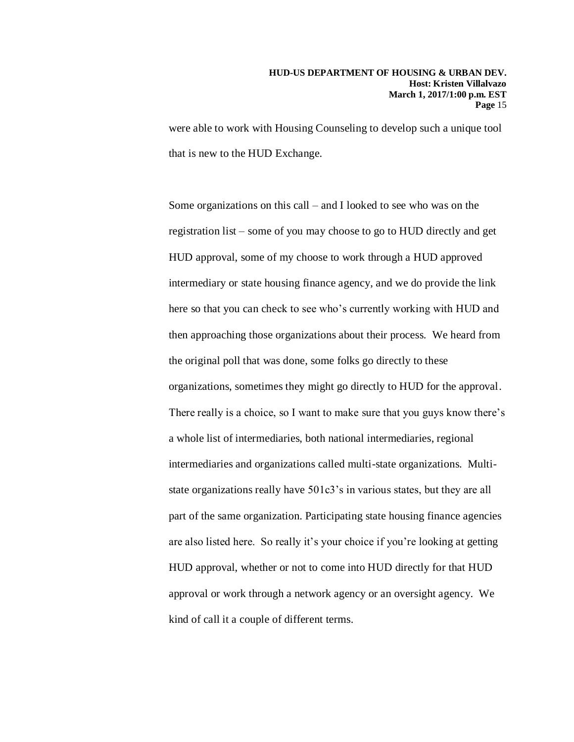were able to work with Housing Counseling to develop such a unique tool that is new to the HUD Exchange.

Some organizations on this call – and I looked to see who was on the registration list – some of you may choose to go to HUD directly and get HUD approval, some of my choose to work through a HUD approved intermediary or state housing finance agency, and we do provide the link here so that you can check to see who's currently working with HUD and then approaching those organizations about their process. We heard from the original poll that was done, some folks go directly to these organizations, sometimes they might go directly to HUD for the approval. There really is a choice, so I want to make sure that you guys know there's a whole list of intermediaries, both national intermediaries, regional intermediaries and organizations called multi-state organizations. Multistate organizations really have 501c3's in various states, but they are all part of the same organization. Participating state housing finance agencies are also listed here. So really it's your choice if you're looking at getting HUD approval, whether or not to come into HUD directly for that HUD approval or work through a network agency or an oversight agency. We kind of call it a couple of different terms.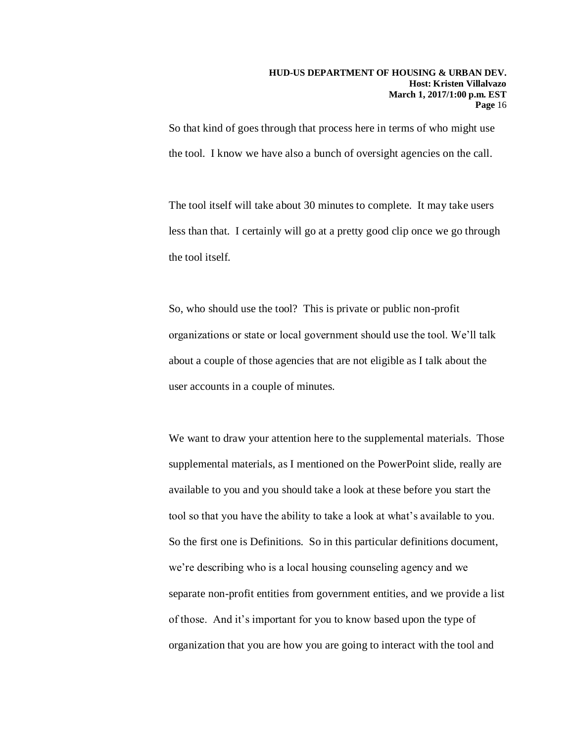So that kind of goes through that process here in terms of who might use the tool. I know we have also a bunch of oversight agencies on the call.

The tool itself will take about 30 minutes to complete. It may take users less than that. I certainly will go at a pretty good clip once we go through the tool itself.

So, who should use the tool? This is private or public non-profit organizations or state or local government should use the tool. We'll talk about a couple of those agencies that are not eligible as I talk about the user accounts in a couple of minutes.

We want to draw your attention here to the supplemental materials. Those supplemental materials, as I mentioned on the PowerPoint slide, really are available to you and you should take a look at these before you start the tool so that you have the ability to take a look at what's available to you. So the first one is Definitions. So in this particular definitions document, we're describing who is a local housing counseling agency and we separate non-profit entities from government entities, and we provide a list of those. And it's important for you to know based upon the type of organization that you are how you are going to interact with the tool and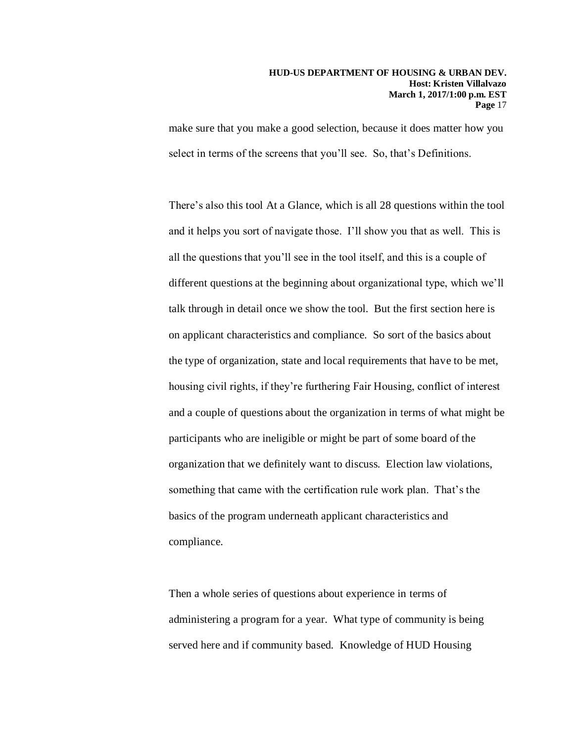make sure that you make a good selection, because it does matter how you select in terms of the screens that you'll see. So, that's Definitions.

There's also this tool At a Glance, which is all 28 questions within the tool and it helps you sort of navigate those. I'll show you that as well. This is all the questions that you'll see in the tool itself, and this is a couple of different questions at the beginning about organizational type, which we'll talk through in detail once we show the tool. But the first section here is on applicant characteristics and compliance. So sort of the basics about the type of organization, state and local requirements that have to be met, housing civil rights, if they're furthering Fair Housing, conflict of interest and a couple of questions about the organization in terms of what might be participants who are ineligible or might be part of some board of the organization that we definitely want to discuss. Election law violations, something that came with the certification rule work plan. That's the basics of the program underneath applicant characteristics and compliance.

Then a whole series of questions about experience in terms of administering a program for a year. What type of community is being served here and if community based. Knowledge of HUD Housing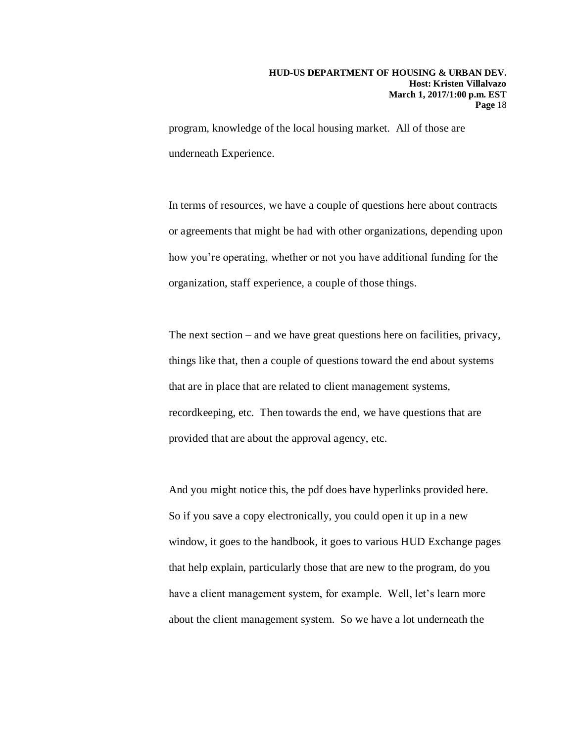program, knowledge of the local housing market. All of those are underneath Experience.

In terms of resources, we have a couple of questions here about contracts or agreements that might be had with other organizations, depending upon how you're operating, whether or not you have additional funding for the organization, staff experience, a couple of those things.

The next section – and we have great questions here on facilities, privacy, things like that, then a couple of questions toward the end about systems that are in place that are related to client management systems, recordkeeping, etc. Then towards the end, we have questions that are provided that are about the approval agency, etc.

And you might notice this, the pdf does have hyperlinks provided here. So if you save a copy electronically, you could open it up in a new window, it goes to the handbook, it goes to various HUD Exchange pages that help explain, particularly those that are new to the program, do you have a client management system, for example. Well, let's learn more about the client management system. So we have a lot underneath the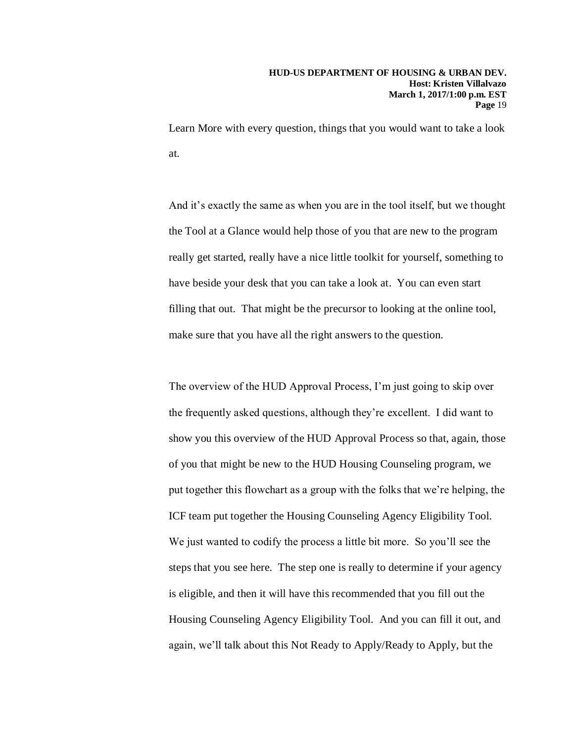Learn More with every question, things that you would want to take a look at.

And it's exactly the same as when you are in the tool itself, but we thought the Tool at a Glance would help those of you that are new to the program really get started, really have a nice little toolkit for yourself, something to have beside your desk that you can take a look at. You can even start filling that out. That might be the precursor to looking at the online tool, make sure that you have all the right answers to the question.

The overview of the HUD Approval Process, I'm just going to skip over the frequently asked questions, although they're excellent. I did want to show you this overview of the HUD Approval Process so that, again, those of you that might be new to the HUD Housing Counseling program, we put together this flowchart as a group with the folks that we're helping, the ICF team put together the Housing Counseling Agency Eligibility Tool. We just wanted to codify the process a little bit more. So you'll see the steps that you see here. The step one is really to determine if your agency is eligible, and then it will have this recommended that you fill out the Housing Counseling Agency Eligibility Tool. And you can fill it out, and again, we'll talk about this Not Ready to Apply/Ready to Apply, but the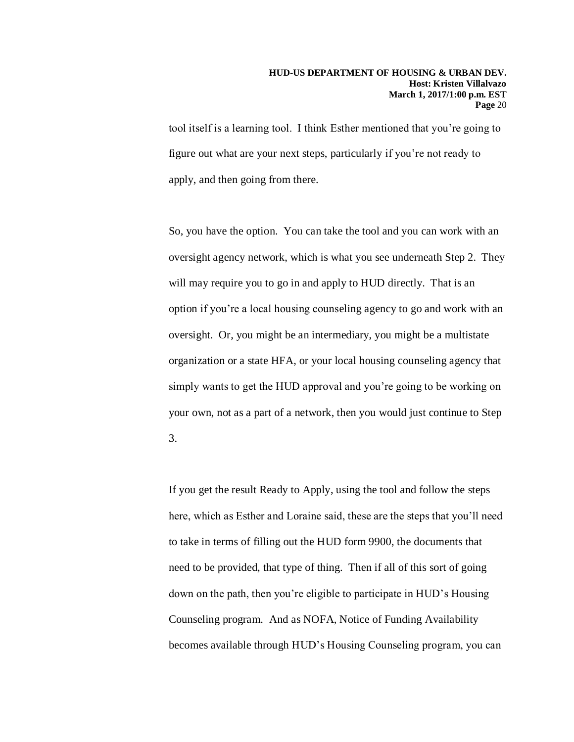tool itself is a learning tool. I think Esther mentioned that you're going to figure out what are your next steps, particularly if you're not ready to apply, and then going from there.

So, you have the option. You can take the tool and you can work with an oversight agency network, which is what you see underneath Step 2. They will may require you to go in and apply to HUD directly. That is an option if you're a local housing counseling agency to go and work with an oversight. Or, you might be an intermediary, you might be a multistate organization or a state HFA, or your local housing counseling agency that simply wants to get the HUD approval and you're going to be working on your own, not as a part of a network, then you would just continue to Step 3.

If you get the result Ready to Apply, using the tool and follow the steps here, which as Esther and Loraine said, these are the steps that you'll need to take in terms of filling out the HUD form 9900, the documents that need to be provided, that type of thing. Then if all of this sort of going down on the path, then you're eligible to participate in HUD's Housing Counseling program. And as NOFA, Notice of Funding Availability becomes available through HUD's Housing Counseling program, you can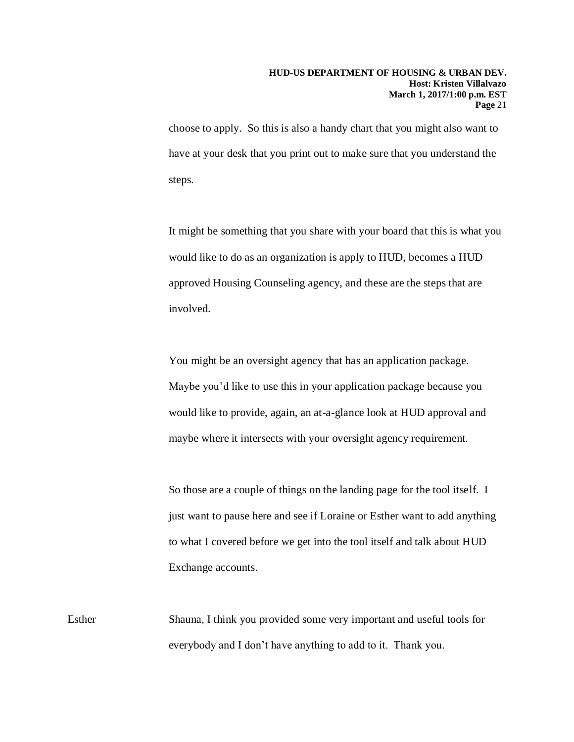choose to apply. So this is also a handy chart that you might also want to have at your desk that you print out to make sure that you understand the steps.

It might be something that you share with your board that this is what you would like to do as an organization is apply to HUD, becomes a HUD approved Housing Counseling agency, and these are the steps that are involved.

You might be an oversight agency that has an application package. Maybe you'd like to use this in your application package because you would like to provide, again, an at-a-glance look at HUD approval and maybe where it intersects with your oversight agency requirement.

So those are a couple of things on the landing page for the tool itself. I just want to pause here and see if Loraine or Esther want to add anything to what I covered before we get into the tool itself and talk about HUD Exchange accounts.

Esther Shauna, I think you provided some very important and useful tools for everybody and I don't have anything to add to it. Thank you.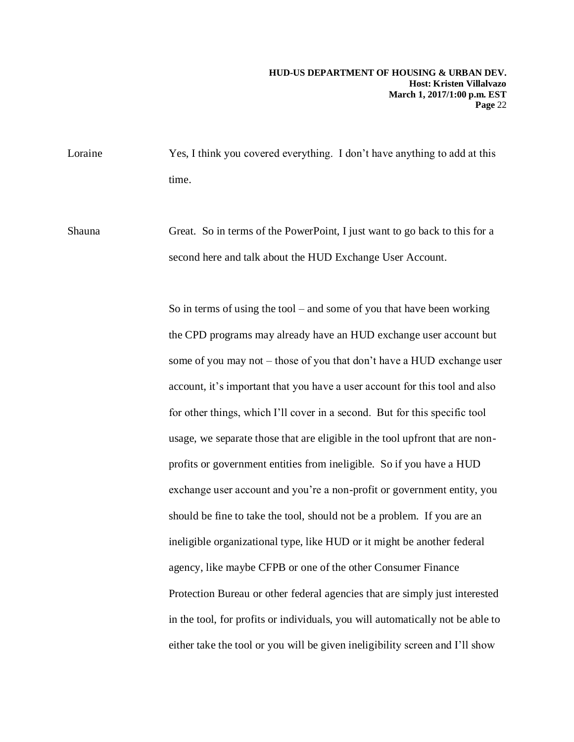Loraine Yes, I think you covered everything. I don't have anything to add at this time.

Shauna Great. So in terms of the PowerPoint, I just want to go back to this for a second here and talk about the HUD Exchange User Account.

> So in terms of using the tool – and some of you that have been working the CPD programs may already have an HUD exchange user account but some of you may not – those of you that don't have a HUD exchange user account, it's important that you have a user account for this tool and also for other things, which I'll cover in a second. But for this specific tool usage, we separate those that are eligible in the tool upfront that are nonprofits or government entities from ineligible. So if you have a HUD exchange user account and you're a non-profit or government entity, you should be fine to take the tool, should not be a problem. If you are an ineligible organizational type, like HUD or it might be another federal agency, like maybe CFPB or one of the other Consumer Finance Protection Bureau or other federal agencies that are simply just interested in the tool, for profits or individuals, you will automatically not be able to either take the tool or you will be given ineligibility screen and I'll show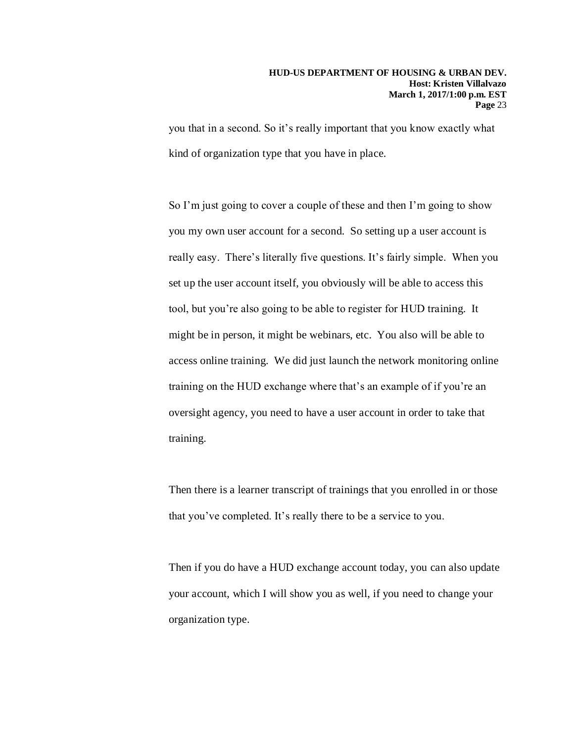you that in a second. So it's really important that you know exactly what kind of organization type that you have in place.

So I'm just going to cover a couple of these and then I'm going to show you my own user account for a second. So setting up a user account is really easy. There's literally five questions. It's fairly simple. When you set up the user account itself, you obviously will be able to access this tool, but you're also going to be able to register for HUD training. It might be in person, it might be webinars, etc. You also will be able to access online training. We did just launch the network monitoring online training on the HUD exchange where that's an example of if you're an oversight agency, you need to have a user account in order to take that training.

Then there is a learner transcript of trainings that you enrolled in or those that you've completed. It's really there to be a service to you.

Then if you do have a HUD exchange account today, you can also update your account, which I will show you as well, if you need to change your organization type.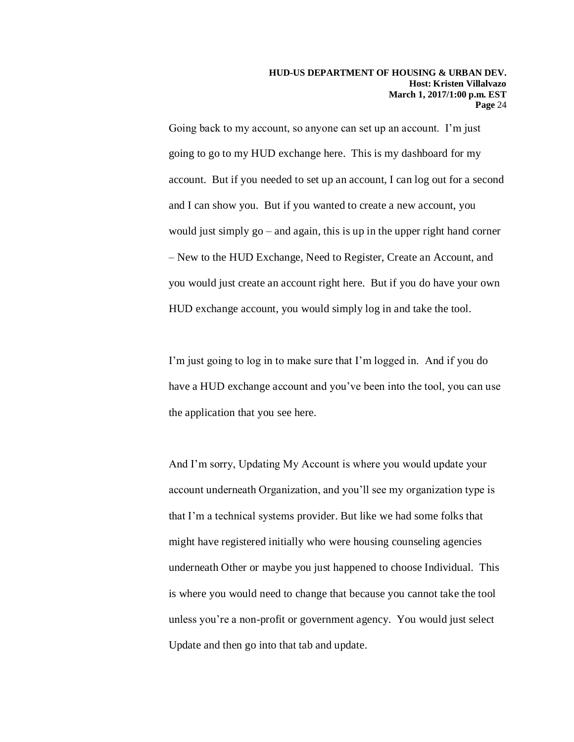Going back to my account, so anyone can set up an account. I'm just going to go to my HUD exchange here. This is my dashboard for my account. But if you needed to set up an account, I can log out for a second and I can show you. But if you wanted to create a new account, you would just simply go – and again, this is up in the upper right hand corner – New to the HUD Exchange, Need to Register, Create an Account, and you would just create an account right here. But if you do have your own HUD exchange account, you would simply log in and take the tool.

I'm just going to log in to make sure that I'm logged in. And if you do have a HUD exchange account and you've been into the tool, you can use the application that you see here.

And I'm sorry, Updating My Account is where you would update your account underneath Organization, and you'll see my organization type is that I'm a technical systems provider. But like we had some folks that might have registered initially who were housing counseling agencies underneath Other or maybe you just happened to choose Individual. This is where you would need to change that because you cannot take the tool unless you're a non-profit or government agency. You would just select Update and then go into that tab and update.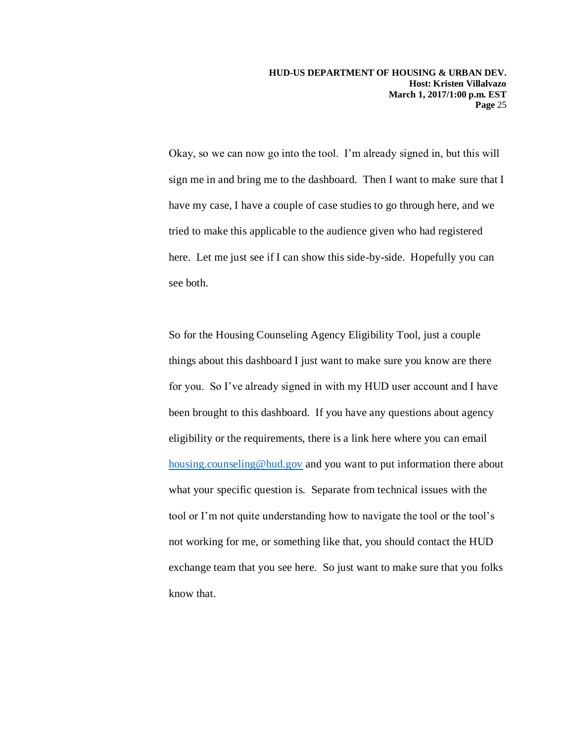**HUD-US DEPARTMENT OF HOUSING & URBAN DEV. Host: Kristen Villalvazo March 1, 2017/1:00 p.m. EST Page** 25

Okay, so we can now go into the tool. I'm already signed in, but this will sign me in and bring me to the dashboard. Then I want to make sure that I have my case, I have a couple of case studies to go through here, and we tried to make this applicable to the audience given who had registered here. Let me just see if I can show this side-by-side. Hopefully you can see both.

So for the Housing Counseling Agency Eligibility Tool, just a couple things about this dashboard I just want to make sure you know are there for you. So I've already signed in with my HUD user account and I have been brought to this dashboard. If you have any questions about agency eligibility or the requirements, there is a link here where you can email [housing.counseling@hud.gov](mailto:housing.counseling@hud.gov) and you want to put information there about what your specific question is. Separate from technical issues with the tool or I'm not quite understanding how to navigate the tool or the tool's not working for me, or something like that, you should contact the HUD exchange team that you see here. So just want to make sure that you folks know that.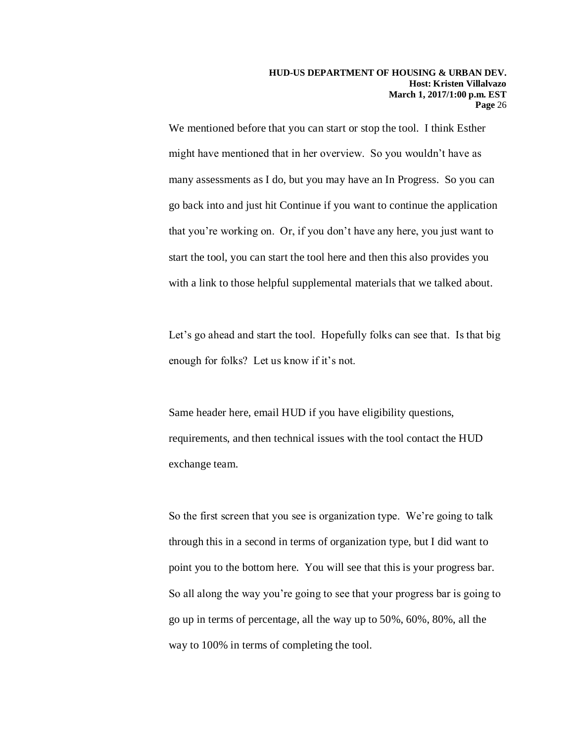We mentioned before that you can start or stop the tool. I think Esther might have mentioned that in her overview. So you wouldn't have as many assessments as I do, but you may have an In Progress. So you can go back into and just hit Continue if you want to continue the application that you're working on. Or, if you don't have any here, you just want to start the tool, you can start the tool here and then this also provides you with a link to those helpful supplemental materials that we talked about.

Let's go ahead and start the tool. Hopefully folks can see that. Is that big enough for folks? Let us know if it's not.

Same header here, email HUD if you have eligibility questions, requirements, and then technical issues with the tool contact the HUD exchange team.

So the first screen that you see is organization type. We're going to talk through this in a second in terms of organization type, but I did want to point you to the bottom here. You will see that this is your progress bar. So all along the way you're going to see that your progress bar is going to go up in terms of percentage, all the way up to 50%, 60%, 80%, all the way to 100% in terms of completing the tool.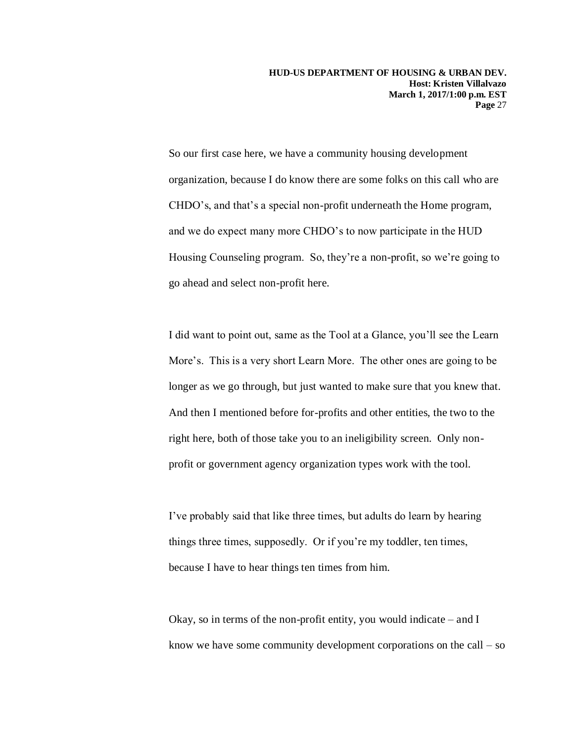So our first case here, we have a community housing development organization, because I do know there are some folks on this call who are CHDO's, and that's a special non-profit underneath the Home program, and we do expect many more CHDO's to now participate in the HUD Housing Counseling program. So, they're a non-profit, so we're going to go ahead and select non-profit here.

I did want to point out, same as the Tool at a Glance, you'll see the Learn More's. This is a very short Learn More. The other ones are going to be longer as we go through, but just wanted to make sure that you knew that. And then I mentioned before for-profits and other entities, the two to the right here, both of those take you to an ineligibility screen. Only nonprofit or government agency organization types work with the tool.

I've probably said that like three times, but adults do learn by hearing things three times, supposedly. Or if you're my toddler, ten times, because I have to hear things ten times from him.

Okay, so in terms of the non-profit entity, you would indicate – and I know we have some community development corporations on the call – so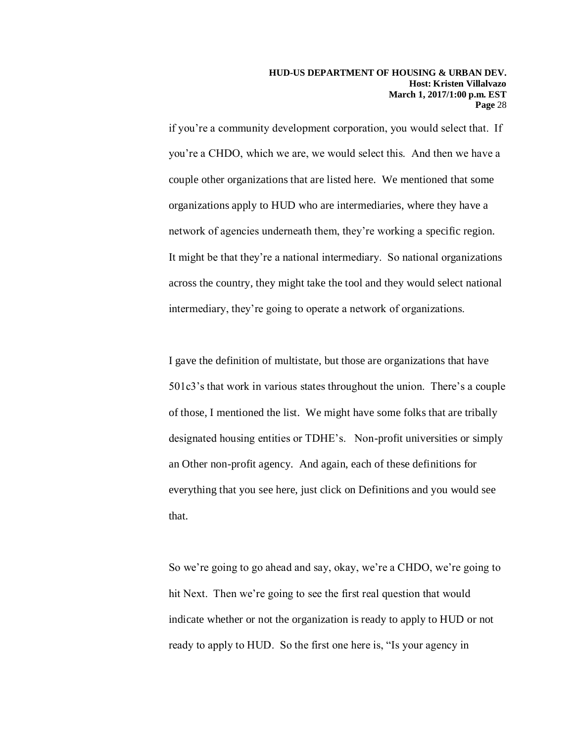if you're a community development corporation, you would select that. If you're a CHDO, which we are, we would select this. And then we have a couple other organizations that are listed here. We mentioned that some organizations apply to HUD who are intermediaries, where they have a network of agencies underneath them, they're working a specific region. It might be that they're a national intermediary. So national organizations across the country, they might take the tool and they would select national intermediary, they're going to operate a network of organizations.

I gave the definition of multistate, but those are organizations that have 501c3's that work in various states throughout the union. There's a couple of those, I mentioned the list. We might have some folks that are tribally designated housing entities or TDHE's. Non-profit universities or simply an Other non-profit agency. And again, each of these definitions for everything that you see here, just click on Definitions and you would see that.

So we're going to go ahead and say, okay, we're a CHDO, we're going to hit Next. Then we're going to see the first real question that would indicate whether or not the organization is ready to apply to HUD or not ready to apply to HUD. So the first one here is, "Is your agency in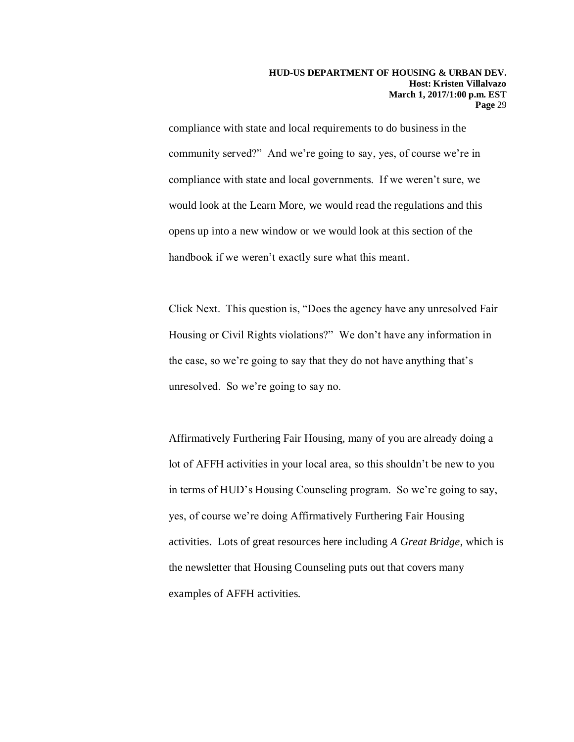compliance with state and local requirements to do business in the community served?" And we're going to say, yes, of course we're in compliance with state and local governments. If we weren't sure, we would look at the Learn More, we would read the regulations and this opens up into a new window or we would look at this section of the handbook if we weren't exactly sure what this meant.

Click Next. This question is, "Does the agency have any unresolved Fair Housing or Civil Rights violations?" We don't have any information in the case, so we're going to say that they do not have anything that's unresolved. So we're going to say no.

Affirmatively Furthering Fair Housing, many of you are already doing a lot of AFFH activities in your local area, so this shouldn't be new to you in terms of HUD's Housing Counseling program. So we're going to say, yes, of course we're doing Affirmatively Furthering Fair Housing activities. Lots of great resources here including *A Great Bridge*, which is the newsletter that Housing Counseling puts out that covers many examples of AFFH activities.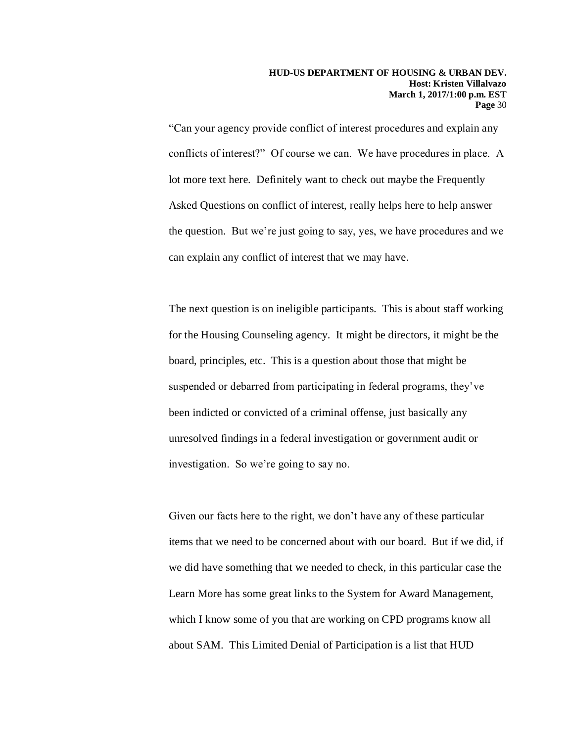"Can your agency provide conflict of interest procedures and explain any conflicts of interest?" Of course we can. We have procedures in place. A lot more text here. Definitely want to check out maybe the Frequently Asked Questions on conflict of interest, really helps here to help answer the question. But we're just going to say, yes, we have procedures and we can explain any conflict of interest that we may have.

The next question is on ineligible participants. This is about staff working for the Housing Counseling agency. It might be directors, it might be the board, principles, etc. This is a question about those that might be suspended or debarred from participating in federal programs, they've been indicted or convicted of a criminal offense, just basically any unresolved findings in a federal investigation or government audit or investigation. So we're going to say no.

Given our facts here to the right, we don't have any of these particular items that we need to be concerned about with our board. But if we did, if we did have something that we needed to check, in this particular case the Learn More has some great links to the System for Award Management, which I know some of you that are working on CPD programs know all about SAM. This Limited Denial of Participation is a list that HUD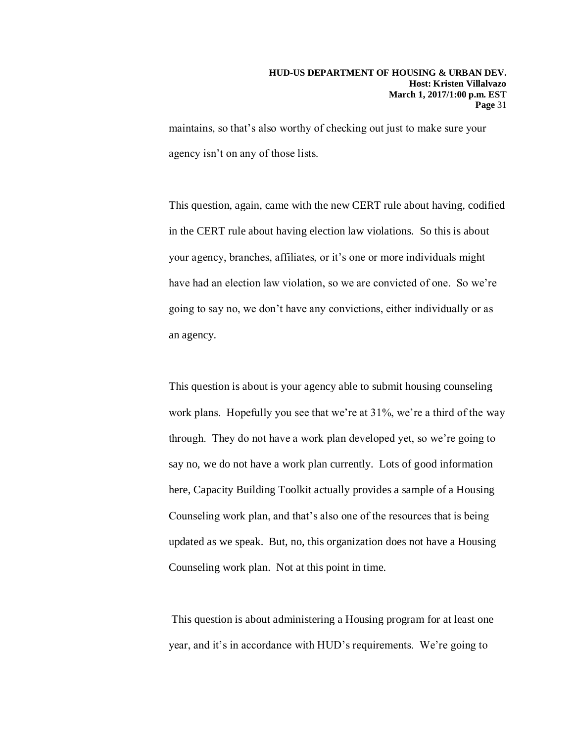maintains, so that's also worthy of checking out just to make sure your agency isn't on any of those lists.

This question, again, came with the new CERT rule about having, codified in the CERT rule about having election law violations. So this is about your agency, branches, affiliates, or it's one or more individuals might have had an election law violation, so we are convicted of one. So we're going to say no, we don't have any convictions, either individually or as an agency.

This question is about is your agency able to submit housing counseling work plans. Hopefully you see that we're at 31%, we're a third of the way through. They do not have a work plan developed yet, so we're going to say no, we do not have a work plan currently. Lots of good information here, Capacity Building Toolkit actually provides a sample of a Housing Counseling work plan, and that's also one of the resources that is being updated as we speak. But, no, this organization does not have a Housing Counseling work plan. Not at this point in time.

This question is about administering a Housing program for at least one year, and it's in accordance with HUD's requirements. We're going to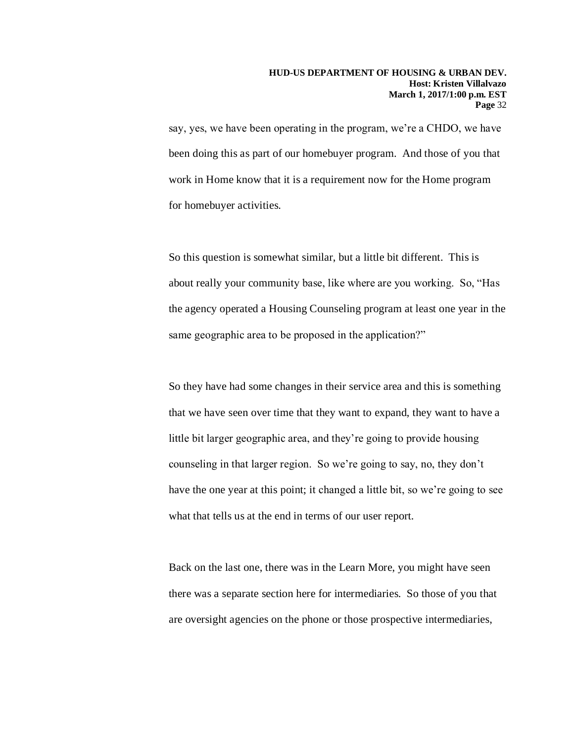say, yes, we have been operating in the program, we're a CHDO, we have been doing this as part of our homebuyer program. And those of you that work in Home know that it is a requirement now for the Home program for homebuyer activities.

So this question is somewhat similar, but a little bit different. This is about really your community base, like where are you working. So, "Has the agency operated a Housing Counseling program at least one year in the same geographic area to be proposed in the application?"

So they have had some changes in their service area and this is something that we have seen over time that they want to expand, they want to have a little bit larger geographic area, and they're going to provide housing counseling in that larger region. So we're going to say, no, they don't have the one year at this point; it changed a little bit, so we're going to see what that tells us at the end in terms of our user report.

Back on the last one, there was in the Learn More, you might have seen there was a separate section here for intermediaries. So those of you that are oversight agencies on the phone or those prospective intermediaries,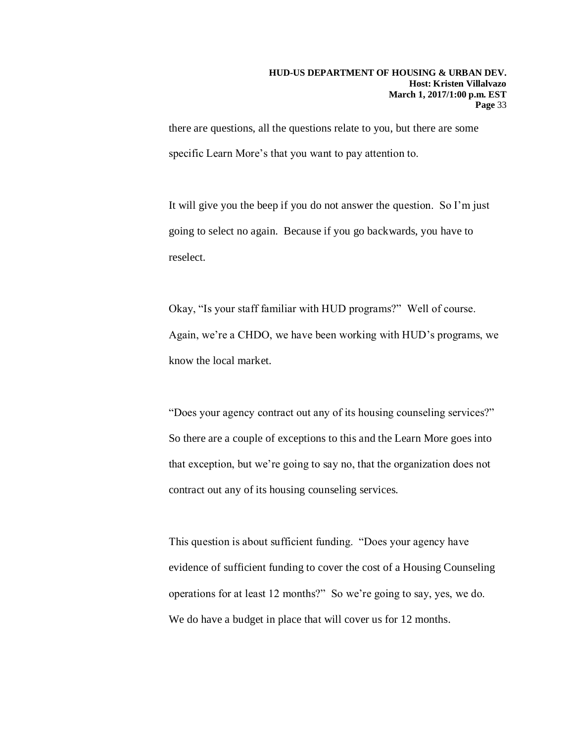there are questions, all the questions relate to you, but there are some specific Learn More's that you want to pay attention to.

It will give you the beep if you do not answer the question. So I'm just going to select no again. Because if you go backwards, you have to reselect.

Okay, "Is your staff familiar with HUD programs?" Well of course. Again, we're a CHDO, we have been working with HUD's programs, we know the local market.

"Does your agency contract out any of its housing counseling services?" So there are a couple of exceptions to this and the Learn More goes into that exception, but we're going to say no, that the organization does not contract out any of its housing counseling services.

This question is about sufficient funding. "Does your agency have evidence of sufficient funding to cover the cost of a Housing Counseling operations for at least 12 months?" So we're going to say, yes, we do. We do have a budget in place that will cover us for 12 months.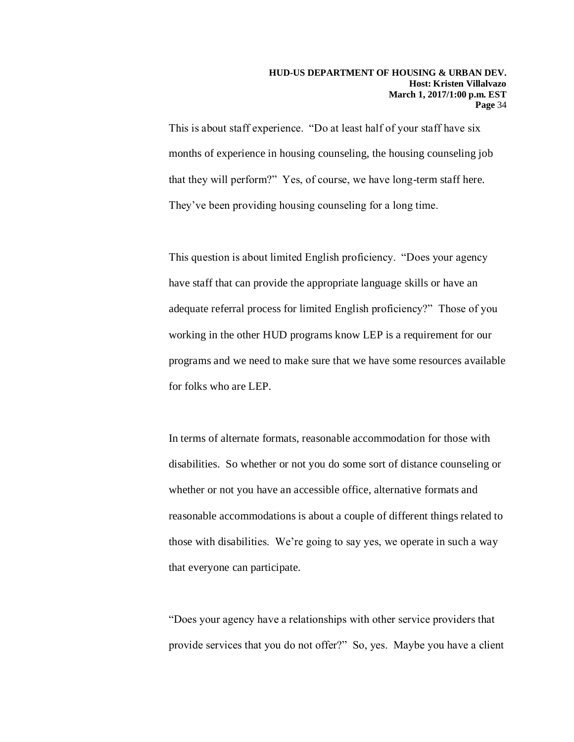This is about staff experience. "Do at least half of your staff have six months of experience in housing counseling, the housing counseling job that they will perform?" Yes, of course, we have long-term staff here. They've been providing housing counseling for a long time.

This question is about limited English proficiency. "Does your agency have staff that can provide the appropriate language skills or have an adequate referral process for limited English proficiency?" Those of you working in the other HUD programs know LEP is a requirement for our programs and we need to make sure that we have some resources available for folks who are LEP.

In terms of alternate formats, reasonable accommodation for those with disabilities. So whether or not you do some sort of distance counseling or whether or not you have an accessible office, alternative formats and reasonable accommodations is about a couple of different things related to those with disabilities. We're going to say yes, we operate in such a way that everyone can participate.

"Does your agency have a relationships with other service providers that provide services that you do not offer?" So, yes. Maybe you have a client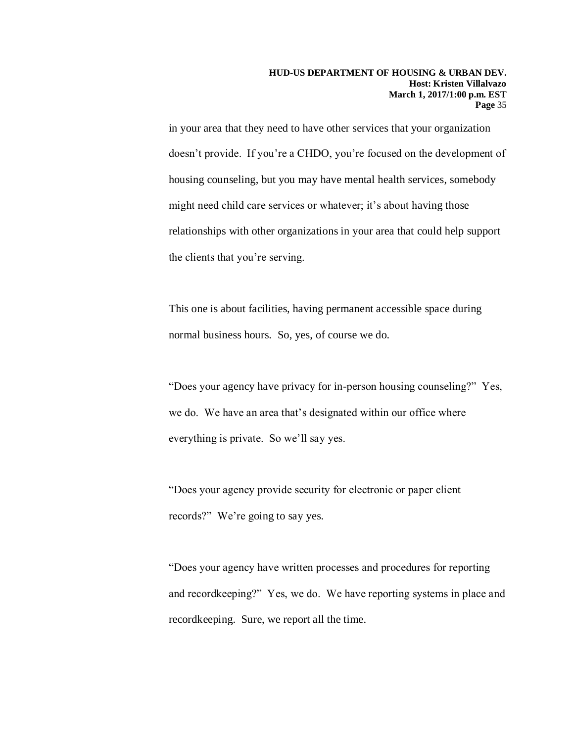in your area that they need to have other services that your organization doesn't provide. If you're a CHDO, you're focused on the development of housing counseling, but you may have mental health services, somebody might need child care services or whatever; it's about having those relationships with other organizations in your area that could help support the clients that you're serving.

This one is about facilities, having permanent accessible space during normal business hours. So, yes, of course we do.

"Does your agency have privacy for in-person housing counseling?" Yes, we do. We have an area that's designated within our office where everything is private. So we'll say yes.

"Does your agency provide security for electronic or paper client records?" We're going to say yes.

"Does your agency have written processes and procedures for reporting and recordkeeping?" Yes, we do. We have reporting systems in place and recordkeeping. Sure, we report all the time.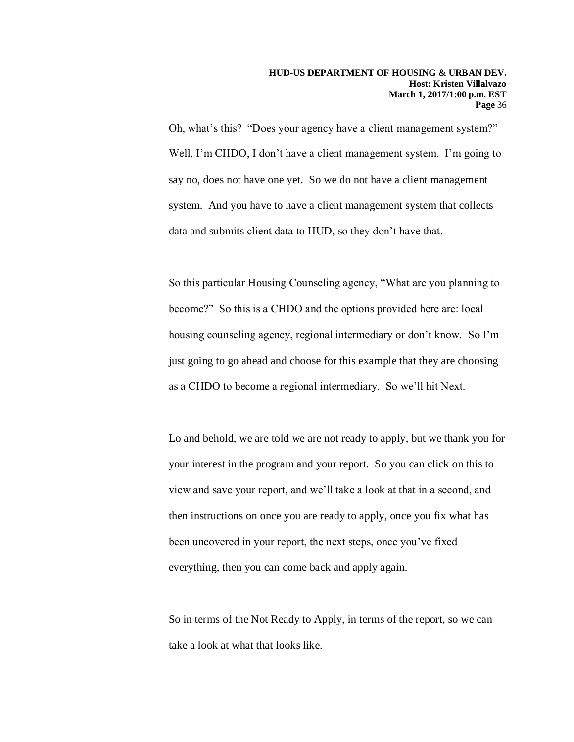Oh, what's this? "Does your agency have a client management system?" Well, I'm CHDO, I don't have a client management system. I'm going to say no, does not have one yet. So we do not have a client management system. And you have to have a client management system that collects data and submits client data to HUD, so they don't have that.

So this particular Housing Counseling agency, "What are you planning to become?" So this is a CHDO and the options provided here are: local housing counseling agency, regional intermediary or don't know. So I'm just going to go ahead and choose for this example that they are choosing as a CHDO to become a regional intermediary. So we'll hit Next.

Lo and behold, we are told we are not ready to apply, but we thank you for your interest in the program and your report. So you can click on this to view and save your report, and we'll take a look at that in a second, and then instructions on once you are ready to apply, once you fix what has been uncovered in your report, the next steps, once you've fixed everything, then you can come back and apply again.

So in terms of the Not Ready to Apply, in terms of the report, so we can take a look at what that looks like.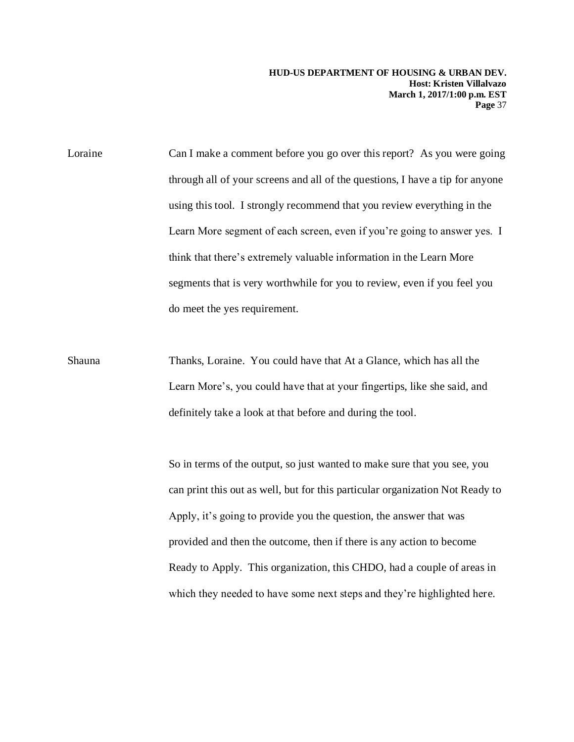Loraine Can I make a comment before you go over this report? As you were going through all of your screens and all of the questions, I have a tip for anyone using this tool. I strongly recommend that you review everything in the Learn More segment of each screen, even if you're going to answer yes. I think that there's extremely valuable information in the Learn More segments that is very worthwhile for you to review, even if you feel you do meet the yes requirement.

Shauna Thanks, Loraine. You could have that At a Glance, which has all the Learn More's, you could have that at your fingertips, like she said, and definitely take a look at that before and during the tool.

> So in terms of the output, so just wanted to make sure that you see, you can print this out as well, but for this particular organization Not Ready to Apply, it's going to provide you the question, the answer that was provided and then the outcome, then if there is any action to become Ready to Apply. This organization, this CHDO, had a couple of areas in which they needed to have some next steps and they're highlighted here.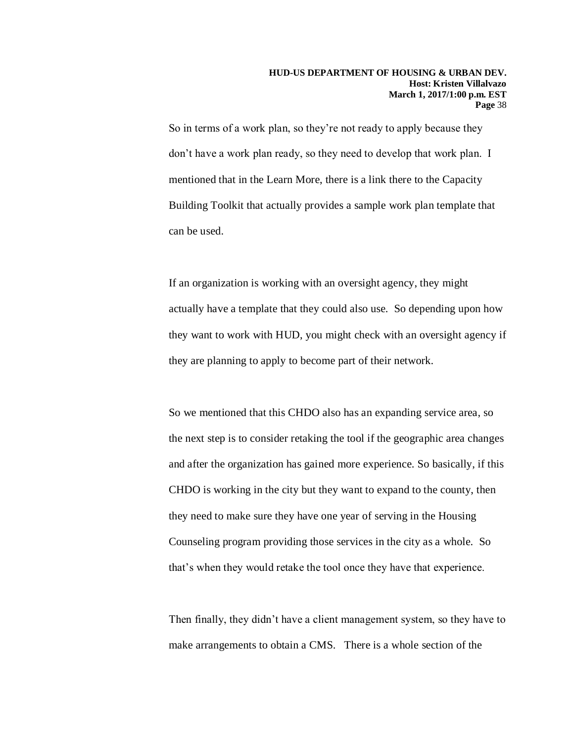So in terms of a work plan, so they're not ready to apply because they don't have a work plan ready, so they need to develop that work plan. I mentioned that in the Learn More, there is a link there to the Capacity Building Toolkit that actually provides a sample work plan template that can be used.

If an organization is working with an oversight agency, they might actually have a template that they could also use. So depending upon how they want to work with HUD, you might check with an oversight agency if they are planning to apply to become part of their network.

So we mentioned that this CHDO also has an expanding service area, so the next step is to consider retaking the tool if the geographic area changes and after the organization has gained more experience. So basically, if this CHDO is working in the city but they want to expand to the county, then they need to make sure they have one year of serving in the Housing Counseling program providing those services in the city as a whole. So that's when they would retake the tool once they have that experience.

Then finally, they didn't have a client management system, so they have to make arrangements to obtain a CMS. There is a whole section of the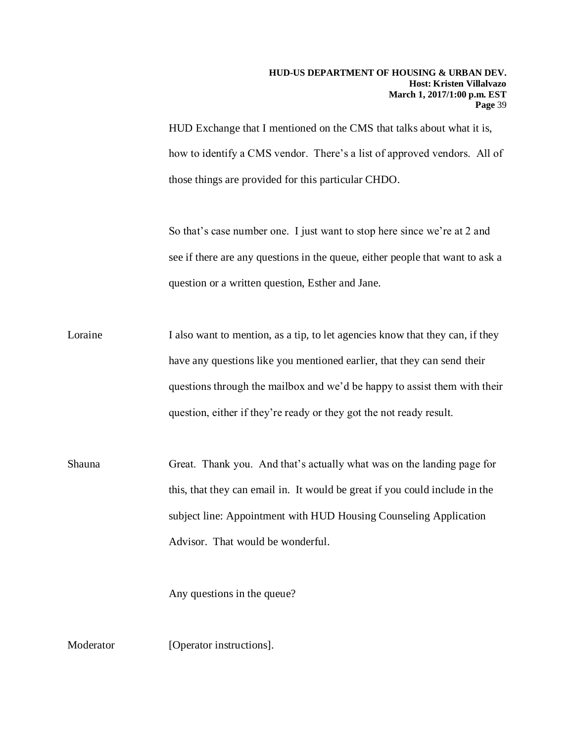HUD Exchange that I mentioned on the CMS that talks about what it is, how to identify a CMS vendor. There's a list of approved vendors. All of those things are provided for this particular CHDO.

So that's case number one. I just want to stop here since we're at 2 and see if there are any questions in the queue, either people that want to ask a question or a written question, Esther and Jane.

- Loraine I also want to mention, as a tip, to let agencies know that they can, if they have any questions like you mentioned earlier, that they can send their questions through the mailbox and we'd be happy to assist them with their question, either if they're ready or they got the not ready result.
- Shauna Great. Thank you. And that's actually what was on the landing page for this, that they can email in. It would be great if you could include in the subject line: Appointment with HUD Housing Counseling Application Advisor. That would be wonderful.

Any questions in the queue?

Moderator [Operator instructions].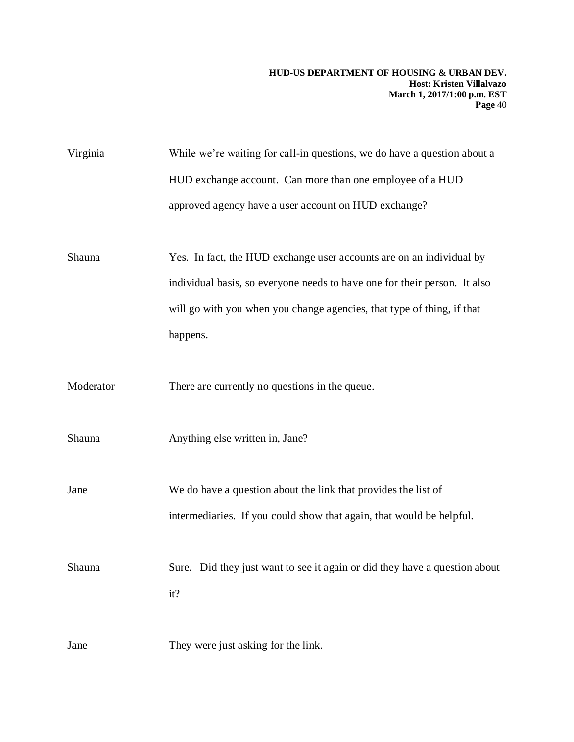| Virginia  | While we're waiting for call-in questions, we do have a question about a   |
|-----------|----------------------------------------------------------------------------|
|           | HUD exchange account. Can more than one employee of a HUD                  |
|           | approved agency have a user account on HUD exchange?                       |
|           |                                                                            |
| Shauna    | Yes. In fact, the HUD exchange user accounts are on an individual by       |
|           | individual basis, so everyone needs to have one for their person. It also  |
|           | will go with you when you change agencies, that type of thing, if that     |
|           | happens.                                                                   |
|           |                                                                            |
| Moderator | There are currently no questions in the queue.                             |
|           |                                                                            |
| Shauna    | Anything else written in, Jane?                                            |
|           |                                                                            |
| Jane      | We do have a question about the link that provides the list of             |
|           | intermediaries. If you could show that again, that would be helpful.       |
|           |                                                                            |
| Shauna    | Sure. Did they just want to see it again or did they have a question about |
|           | it?                                                                        |
|           |                                                                            |
| Jane      | They were just asking for the link.                                        |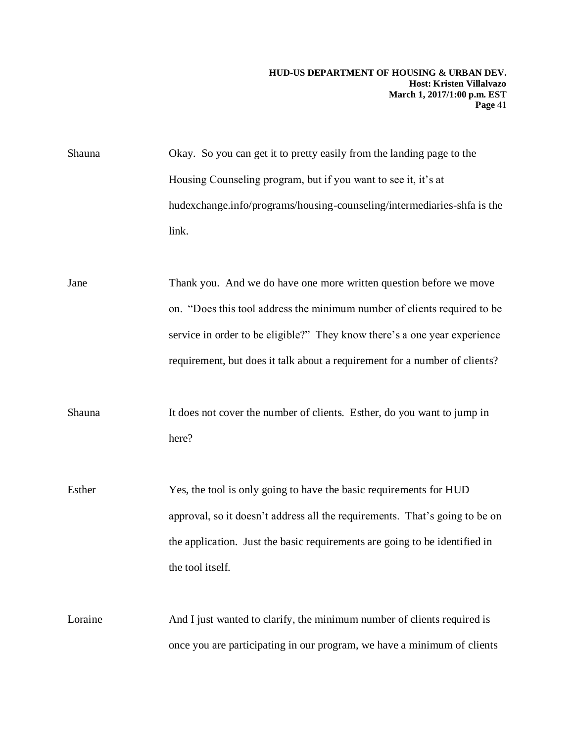Shauna Okay. So you can get it to pretty easily from the landing page to the Housing Counseling program, but if you want to see it, it's at hudexchange.info/programs/housing-counseling/intermediaries-shfa is the link.

Jane Thank you. And we do have one more written question before we move on. "Does this tool address the minimum number of clients required to be service in order to be eligible?" They know there's a one year experience requirement, but does it talk about a requirement for a number of clients?

Shauna It does not cover the number of clients. Esther, do you want to jump in here?

Esther Yes, the tool is only going to have the basic requirements for HUD approval, so it doesn't address all the requirements. That's going to be on the application. Just the basic requirements are going to be identified in the tool itself.

Loraine And I just wanted to clarify, the minimum number of clients required is once you are participating in our program, we have a minimum of clients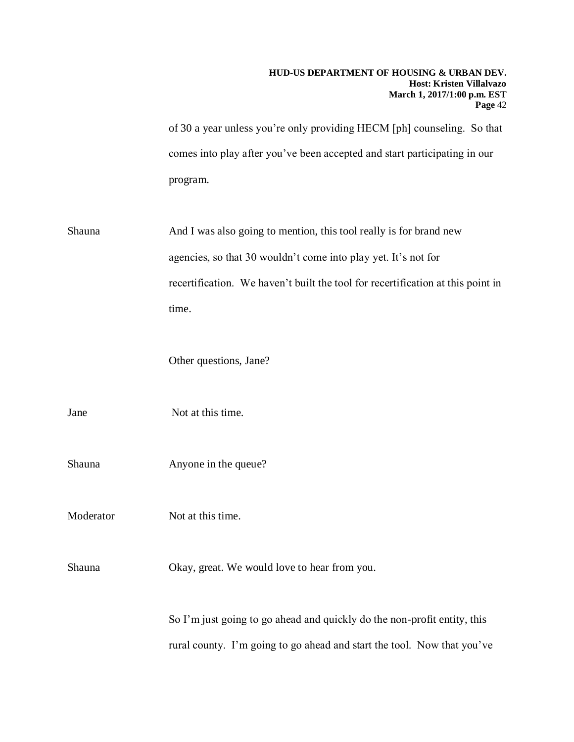|           | HUD-US DEPARTMENT OF HOUSING & URBAN DEV.<br>Host: Kristen Villalvazo<br>March 1, 2017/1:00 p.m. EST<br>Page 42                                     |
|-----------|-----------------------------------------------------------------------------------------------------------------------------------------------------|
|           | of 30 a year unless you're only providing HECM [ph] counseling. So that                                                                             |
|           | comes into play after you've been accepted and start participating in our                                                                           |
|           | program.                                                                                                                                            |
| Shauna    | And I was also going to mention, this tool really is for brand new                                                                                  |
|           | agencies, so that 30 wouldn't come into play yet. It's not for                                                                                      |
|           | recertification. We haven't built the tool for recertification at this point in                                                                     |
|           | time.                                                                                                                                               |
|           | Other questions, Jane?                                                                                                                              |
| Jane      | Not at this time.                                                                                                                                   |
| Shauna    | Anyone in the queue?                                                                                                                                |
| Moderator | Not at this time.                                                                                                                                   |
| Shauna    | Okay, great. We would love to hear from you.                                                                                                        |
|           | So I'm just going to go ahead and quickly do the non-profit entity, this<br>rural county. I'm going to go ahead and start the tool. Now that you've |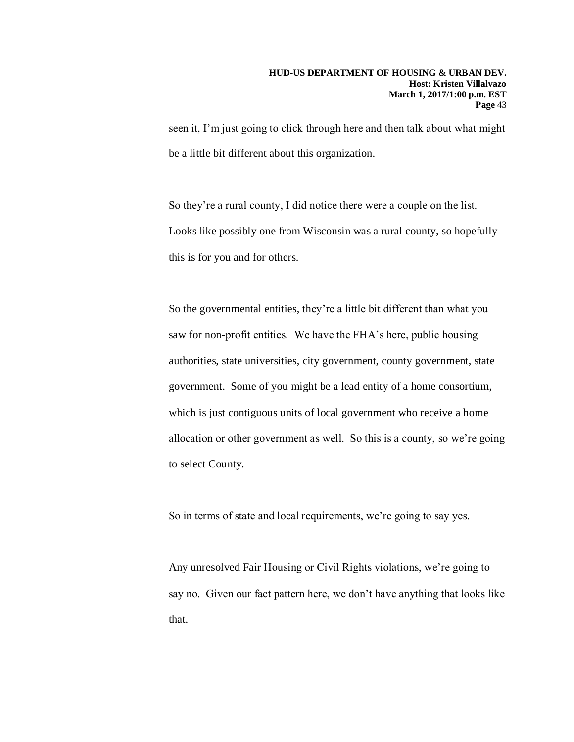seen it, I'm just going to click through here and then talk about what might be a little bit different about this organization.

So they're a rural county, I did notice there were a couple on the list. Looks like possibly one from Wisconsin was a rural county, so hopefully this is for you and for others.

So the governmental entities, they're a little bit different than what you saw for non-profit entities. We have the FHA's here, public housing authorities, state universities, city government, county government, state government. Some of you might be a lead entity of a home consortium, which is just contiguous units of local government who receive a home allocation or other government as well. So this is a county, so we're going to select County.

So in terms of state and local requirements, we're going to say yes.

Any unresolved Fair Housing or Civil Rights violations, we're going to say no. Given our fact pattern here, we don't have anything that looks like that.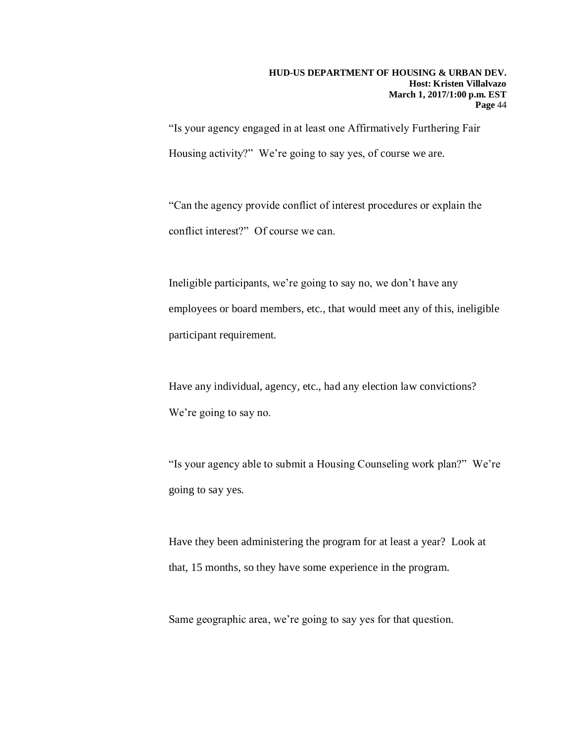"Is your agency engaged in at least one Affirmatively Furthering Fair Housing activity?" We're going to say yes, of course we are.

"Can the agency provide conflict of interest procedures or explain the conflict interest?" Of course we can.

Ineligible participants, we're going to say no, we don't have any employees or board members, etc., that would meet any of this, ineligible participant requirement.

Have any individual, agency, etc., had any election law convictions? We're going to say no.

"Is your agency able to submit a Housing Counseling work plan?" We're going to say yes.

Have they been administering the program for at least a year? Look at that, 15 months, so they have some experience in the program.

Same geographic area, we're going to say yes for that question.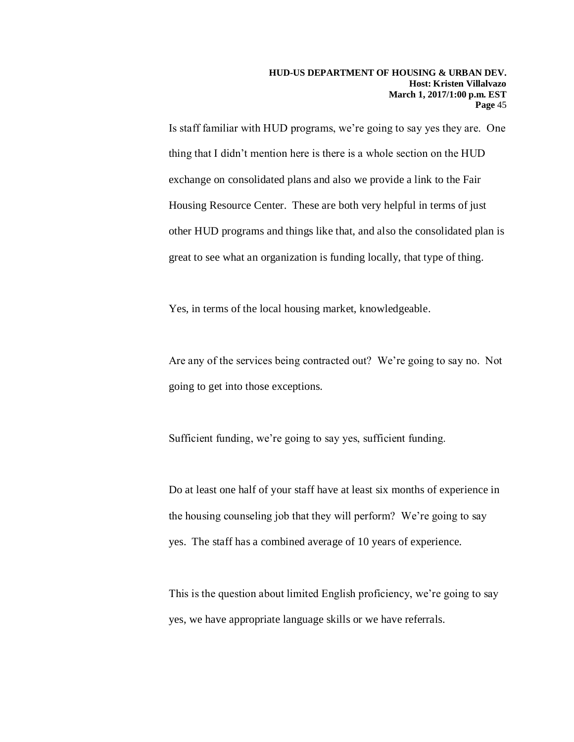Is staff familiar with HUD programs, we're going to say yes they are. One thing that I didn't mention here is there is a whole section on the HUD exchange on consolidated plans and also we provide a link to the Fair Housing Resource Center. These are both very helpful in terms of just other HUD programs and things like that, and also the consolidated plan is great to see what an organization is funding locally, that type of thing.

Yes, in terms of the local housing market, knowledgeable.

Are any of the services being contracted out? We're going to say no. Not going to get into those exceptions.

Sufficient funding, we're going to say yes, sufficient funding.

Do at least one half of your staff have at least six months of experience in the housing counseling job that they will perform? We're going to say yes. The staff has a combined average of 10 years of experience.

This is the question about limited English proficiency, we're going to say yes, we have appropriate language skills or we have referrals.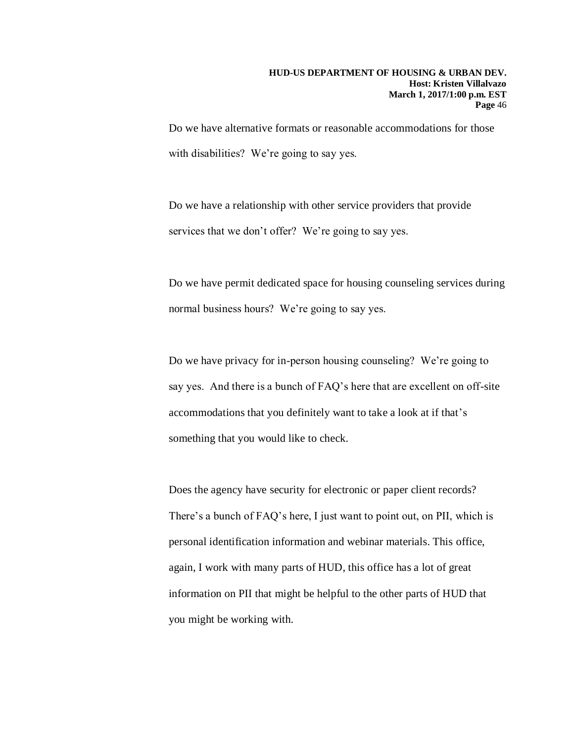Do we have alternative formats or reasonable accommodations for those with disabilities? We're going to say yes.

Do we have a relationship with other service providers that provide services that we don't offer? We're going to say yes.

Do we have permit dedicated space for housing counseling services during normal business hours? We're going to say yes.

Do we have privacy for in-person housing counseling? We're going to say yes. And there is a bunch of FAQ's here that are excellent on off-site accommodations that you definitely want to take a look at if that's something that you would like to check.

Does the agency have security for electronic or paper client records? There's a bunch of FAQ's here, I just want to point out, on PII, which is personal identification information and webinar materials. This office, again, I work with many parts of HUD, this office has a lot of great information on PII that might be helpful to the other parts of HUD that you might be working with.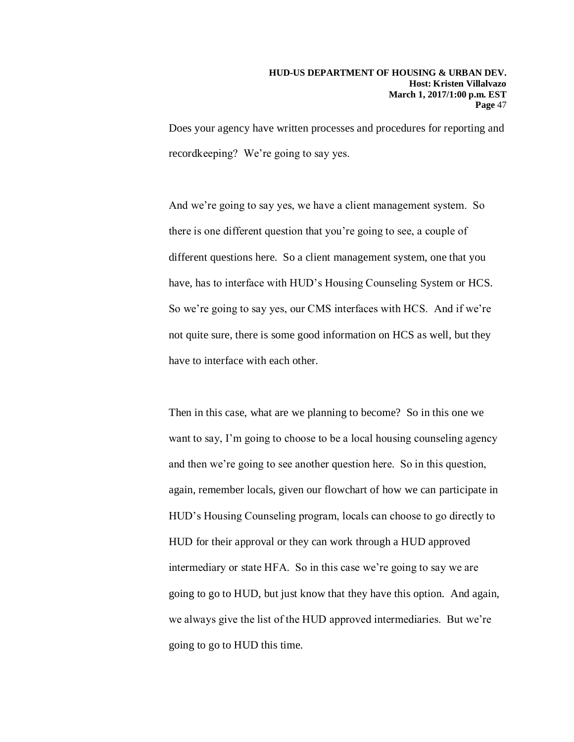Does your agency have written processes and procedures for reporting and recordkeeping? We're going to say yes.

And we're going to say yes, we have a client management system. So there is one different question that you're going to see, a couple of different questions here. So a client management system, one that you have, has to interface with HUD's Housing Counseling System or HCS. So we're going to say yes, our CMS interfaces with HCS. And if we're not quite sure, there is some good information on HCS as well, but they have to interface with each other.

Then in this case, what are we planning to become? So in this one we want to say, I'm going to choose to be a local housing counseling agency and then we're going to see another question here. So in this question, again, remember locals, given our flowchart of how we can participate in HUD's Housing Counseling program, locals can choose to go directly to HUD for their approval or they can work through a HUD approved intermediary or state HFA. So in this case we're going to say we are going to go to HUD, but just know that they have this option. And again, we always give the list of the HUD approved intermediaries. But we're going to go to HUD this time.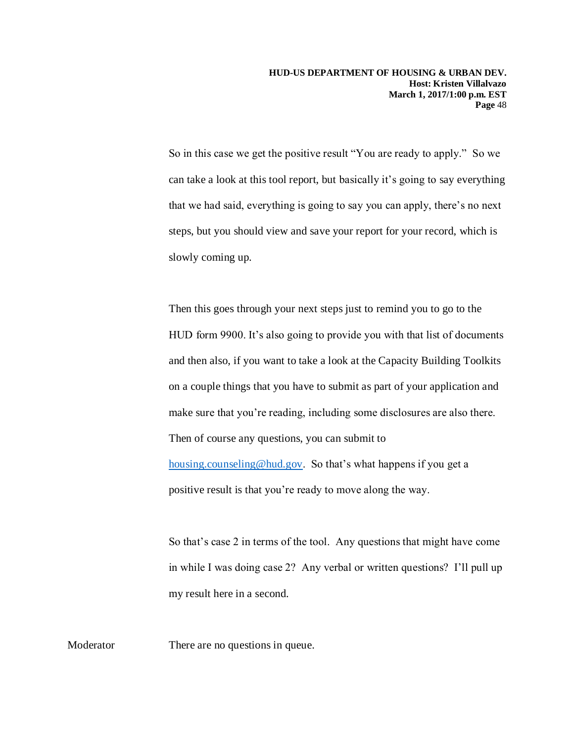So in this case we get the positive result "You are ready to apply." So we can take a look at this tool report, but basically it's going to say everything that we had said, everything is going to say you can apply, there's no next steps, but you should view and save your report for your record, which is slowly coming up.

Then this goes through your next steps just to remind you to go to the HUD form 9900. It's also going to provide you with that list of documents and then also, if you want to take a look at the Capacity Building Toolkits on a couple things that you have to submit as part of your application and make sure that you're reading, including some disclosures are also there. Then of course any questions, you can submit to [housing.counseling@hud.gov.](mailto:housing.counseling@hud.gov) So that's what happens if you get a positive result is that you're ready to move along the way.

So that's case 2 in terms of the tool. Any questions that might have come in while I was doing case 2? Any verbal or written questions? I'll pull up my result here in a second.

Moderator There are no questions in queue.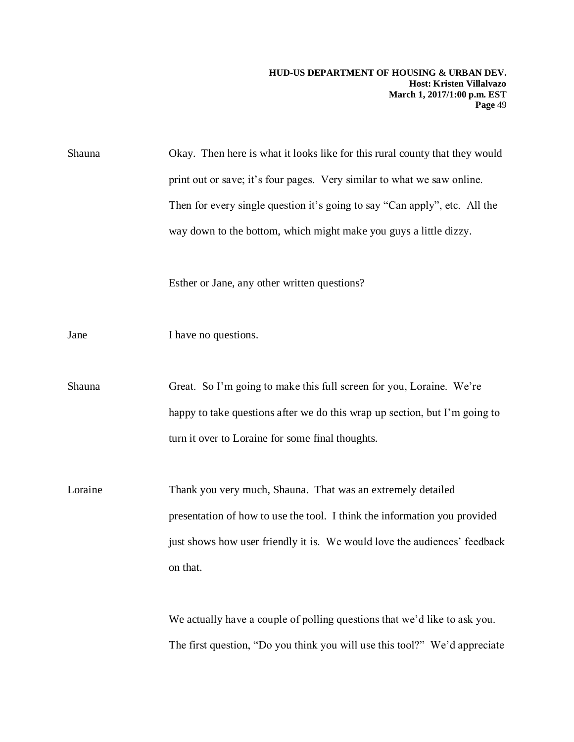Shauna Okay. Then here is what it looks like for this rural county that they would print out or save; it's four pages. Very similar to what we saw online. Then for every single question it's going to say "Can apply", etc. All the way down to the bottom, which might make you guys a little dizzy.

Esther or Jane, any other written questions?

Jane I have no questions.

Shauna Great. So I'm going to make this full screen for you, Loraine. We're happy to take questions after we do this wrap up section, but I'm going to turn it over to Loraine for some final thoughts.

Loraine Thank you very much, Shauna. That was an extremely detailed presentation of how to use the tool. I think the information you provided just shows how user friendly it is. We would love the audiences' feedback on that.

> We actually have a couple of polling questions that we'd like to ask you. The first question, "Do you think you will use this tool?" We'd appreciate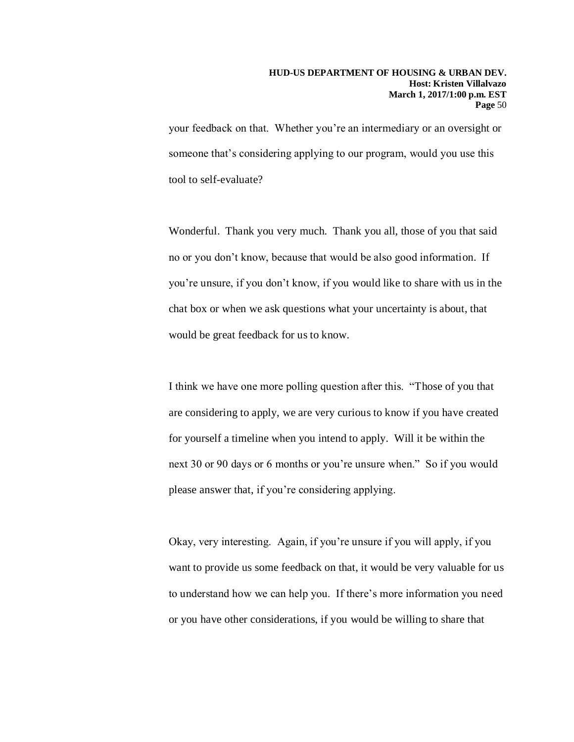your feedback on that. Whether you're an intermediary or an oversight or someone that's considering applying to our program, would you use this tool to self-evaluate?

Wonderful. Thank you very much. Thank you all, those of you that said no or you don't know, because that would be also good information. If you're unsure, if you don't know, if you would like to share with us in the chat box or when we ask questions what your uncertainty is about, that would be great feedback for us to know.

I think we have one more polling question after this. "Those of you that are considering to apply, we are very curious to know if you have created for yourself a timeline when you intend to apply. Will it be within the next 30 or 90 days or 6 months or you're unsure when." So if you would please answer that, if you're considering applying.

Okay, very interesting. Again, if you're unsure if you will apply, if you want to provide us some feedback on that, it would be very valuable for us to understand how we can help you. If there's more information you need or you have other considerations, if you would be willing to share that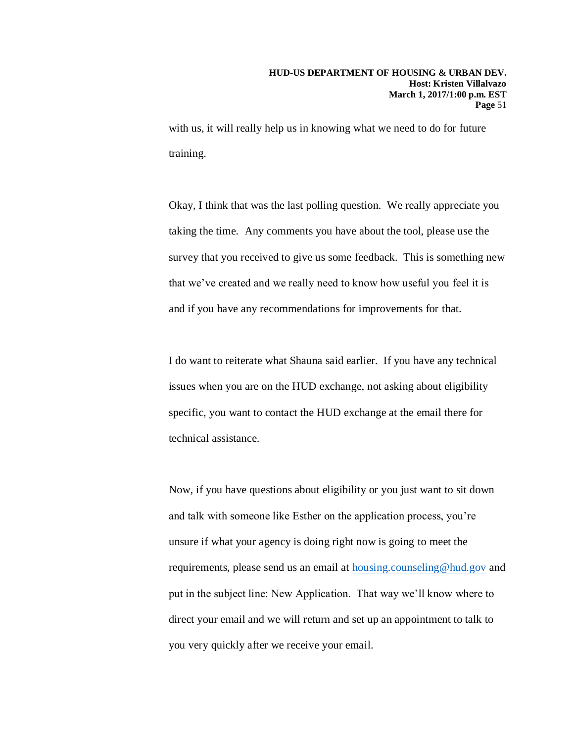with us, it will really help us in knowing what we need to do for future training.

Okay, I think that was the last polling question. We really appreciate you taking the time. Any comments you have about the tool, please use the survey that you received to give us some feedback. This is something new that we've created and we really need to know how useful you feel it is and if you have any recommendations for improvements for that.

I do want to reiterate what Shauna said earlier. If you have any technical issues when you are on the HUD exchange, not asking about eligibility specific, you want to contact the HUD exchange at the email there for technical assistance.

Now, if you have questions about eligibility or you just want to sit down and talk with someone like Esther on the application process, you're unsure if what your agency is doing right now is going to meet the requirements, please send us an email at [housing.counseling@hud.gov](mailto:housing.counseling@hud.gov) and put in the subject line: New Application. That way we'll know where to direct your email and we will return and set up an appointment to talk to you very quickly after we receive your email.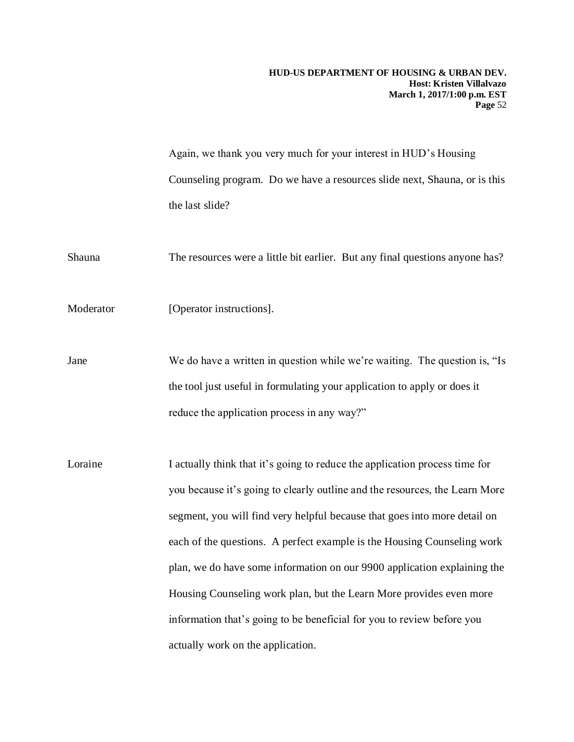Again, we thank you very much for your interest in HUD's Housing Counseling program. Do we have a resources slide next, Shauna, or is this the last slide?

Shauna The resources were a little bit earlier. But any final questions anyone has?

Moderator [Operator instructions].

Jane We do have a written in question while we're waiting. The question is, "Is the tool just useful in formulating your application to apply or does it reduce the application process in any way?"

Loraine I actually think that it's going to reduce the application process time for you because it's going to clearly outline and the resources, the Learn More segment, you will find very helpful because that goes into more detail on each of the questions. A perfect example is the Housing Counseling work plan, we do have some information on our 9900 application explaining the Housing Counseling work plan, but the Learn More provides even more information that's going to be beneficial for you to review before you actually work on the application.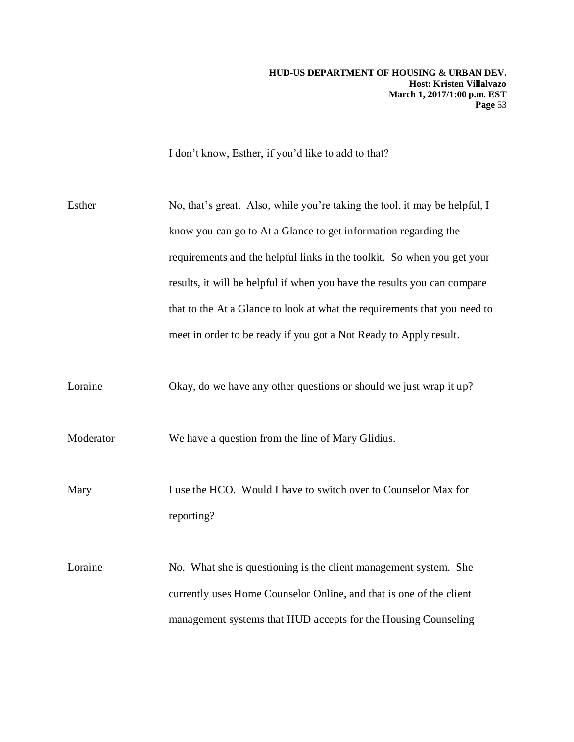I don't know, Esther, if you'd like to add to that?

| Esther    | No, that's great. Also, while you're taking the tool, it may be helpful, I |
|-----------|----------------------------------------------------------------------------|
|           | know you can go to At a Glance to get information regarding the            |
|           | requirements and the helpful links in the toolkit. So when you get your    |
|           | results, it will be helpful if when you have the results you can compare   |
|           | that to the At a Glance to look at what the requirements that you need to  |
|           | meet in order to be ready if you got a Not Ready to Apply result.          |
|           |                                                                            |
| Loraine   | Okay, do we have any other questions or should we just wrap it up?         |
|           |                                                                            |
| Moderator | We have a question from the line of Mary Glidius.                          |
|           |                                                                            |
| Mary      | I use the HCO. Would I have to switch over to Counselor Max for            |
|           | reporting?                                                                 |
|           |                                                                            |
| Loraine   | No. What she is questioning is the client management system. She           |
|           | currently uses Home Counselor Online, and that is one of the client        |
|           | management systems that HUD accepts for the Housing Counseling             |
|           |                                                                            |